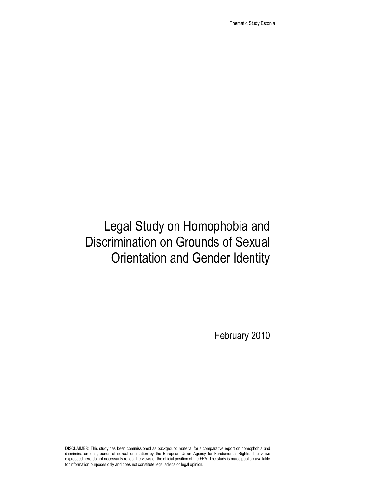Thematic Study Estonia

# Legal Study on Homophobia and Discrimination on Grounds of Sexual Orientation and Gender Identity

February 2010

DISCLAIMER: This study has been commissioned as background material for a comparative report on homophobia and discrimination on grounds of sexual orientation by the European Union Agency for Fundamental Rights. The views expressed here do not necessarily reflect the views or the official position of the FRA. The study is made publicly available for information purposes only and does not constitute legal advice or legal opinion.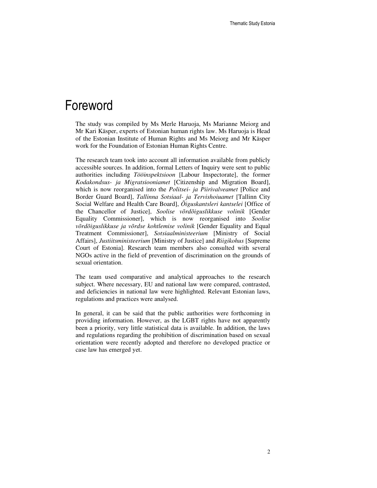### Foreword

The study was compiled by Ms Merle Haruoja, Ms Marianne Meiorg and Mr Kari Käsper, experts of Estonian human rights law. Ms Haruoja is Head of the Estonian Institute of Human Rights and Ms Meiorg and Mr Käsper work for the Foundation of Estonian Human Rights Centre.

The research team took into account all information available from publicly accessible sources. In addition, formal Letters of Inquiry were sent to public authorities including *Tööinspektsioon* [Labour Inspectorate], the former *Kodakondsus- ja Migratsiooniamet* [Citizenship and Migration Board], which is now reorganised into the *Politsei- ja Piirivalveamet* [Police and Border Guard Board], *Tallinna Sotsiaal- ja Tervishoiuamet* [Tallinn City Social Welfare and Health Care Board], *Õiguskantsleri kantselei* [Office of the Chancellor of Justice], *Soolise võrdõiguslikkuse volinik* [Gender Equality Commissioner], which is now reorganised into *Soolise võrdõiguslikkuse ja võrdse kohtlemise volinik* [Gender Equality and Equal Treatment Commissioner], *Sotsiaalministeerium* [Ministry of Social Affairs], *Justiitsministeerium* [Ministry of Justice] and *Riigikohus* [Supreme Court of Estonia]. Research team members also consulted with several NGOs active in the field of prevention of discrimination on the grounds of sexual orientation.

The team used comparative and analytical approaches to the research subject. Where necessary, EU and national law were compared, contrasted, and deficiencies in national law were highlighted. Relevant Estonian laws, regulations and practices were analysed.

In general, it can be said that the public authorities were forthcoming in providing information. However, as the LGBT rights have not apparently been a priority, very little statistical data is available. In addition, the laws and regulations regarding the prohibition of discrimination based on sexual orientation were recently adopted and therefore no developed practice or case law has emerged yet.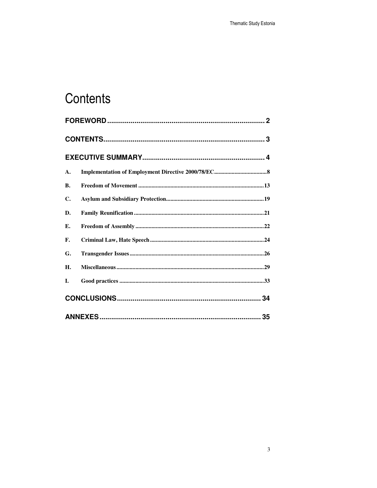# Contents

| A.        |  |  |
|-----------|--|--|
| <b>B.</b> |  |  |
| C.        |  |  |
| D.        |  |  |
| Е.        |  |  |
| F.        |  |  |
| G.        |  |  |
| Η.        |  |  |
| L.        |  |  |
|           |  |  |
|           |  |  |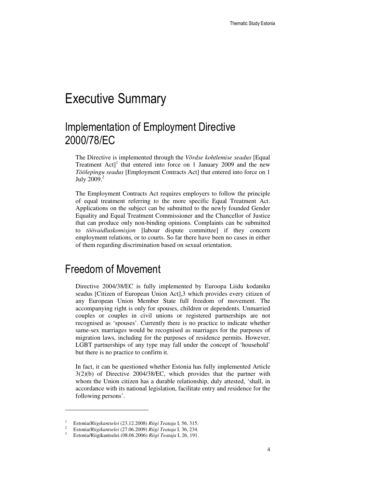# Executive Summary

### Implementation of Employment Directive 2000/78/EC

The Directive is implemented through the *Võrdse kohtlemise seadus* [Equal Treatment  $Act$ <sup>1</sup> that entered into force on 1 January 2009 and the new *Töölepingu seadus* [Employment Contracts Act] that entered into force on 1 July  $2009.<sup>2</sup>$ 

The Employment Contracts Act requires employers to follow the principle of equal treatment referring to the more specific Equal Treatment Act. Applications on the subject can be submitted to the newly founded Gender Equality and Equal Treatment Commissioner and the Chancellor of Justice that can produce only non-binding opinions. Complaints can be submitted to *töövaidluskomisjon* [labour dispute committee] if they concern employment relations, or to courts. So far there have been no cases in either of them regarding discrimination based on sexual orientation.

#### Freedom of Movement

Directive 2004/38/EC is fully implemented by Euroopa Liidu kodaniku seadus [Citizen of European Union Act],3 which provides every citizen of any European Union Member State full freedom of movement. The accompanying right is only for spouses, children or dependents. Unmarried couples or couples in civil unions or registered partnerships are not recognised as 'spouses'. Currently there is no practice to indicate whether same-sex marriages would be recognised as marriages for the purposes of migration laws, including for the purposes of residence permits. However, LGBT partnerships of any type may fall under the concept of 'household' but there is no practice to confirm it.

In fact, it can be questioned whether Estonia has fully implemented Article 3(2)(b) of Directive 2004/38/EC, which provides that the partner with whom the Union citizen has a durable relationship, duly attested, 'shall, in accordance with its national legislation, facilitate entry and residence for the following persons'.

<sup>1</sup> Estonia/*Riigikantselei* (23.12.2008) *Riigi Teataja* I*,* 56, 315.

<sup>2</sup> Estonia/*Riigikantselei* (27.06.2009) *Riigi Teataja* I*,* 36, 234.

<sup>3</sup> Estonia/Riigikantselei (08.06.2006) *Riigi Teataja* I, 26, 191.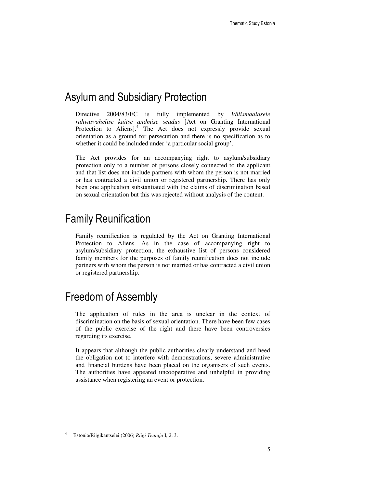#### Asylum and Subsidiary Protection

Directive 2004/83/EC is fully implemented by *Välismaalasele rahvusvahelise kaitse andmise seadus* [Act on Granting International Protection to Aliens].<sup>4</sup> The Act does not expressly provide sexual orientation as a ground for persecution and there is no specification as to whether it could be included under 'a particular social group'.

The Act provides for an accompanying right to asylum/subsidiary protection only to a number of persons closely connected to the applicant and that list does not include partners with whom the person is not married or has contracted a civil union or registered partnership. There has only been one application substantiated with the claims of discrimination based on sexual orientation but this was rejected without analysis of the content.

#### Family Reunification

Family reunification is regulated by the Act on Granting International Protection to Aliens. As in the case of accompanying right to asylum/subsidiary protection, the exhaustive list of persons considered family members for the purposes of family reunification does not include partners with whom the person is not married or has contracted a civil union or registered partnership.

#### Freedom of Assembly

The application of rules in the area is unclear in the context of discrimination on the basis of sexual orientation. There have been few cases of the public exercise of the right and there have been controversies regarding its exercise.

It appears that although the public authorities clearly understand and heed the obligation not to interfere with demonstrations, severe administrative and financial burdens have been placed on the organisers of such events. The authorities have appeared uncooperative and unhelpful in providing assistance when registering an event or protection.

 $\overline{a}$ 

<sup>4</sup> Estonia/Riigikantselei (2006) *Riigi Teataja* I, 2, 3.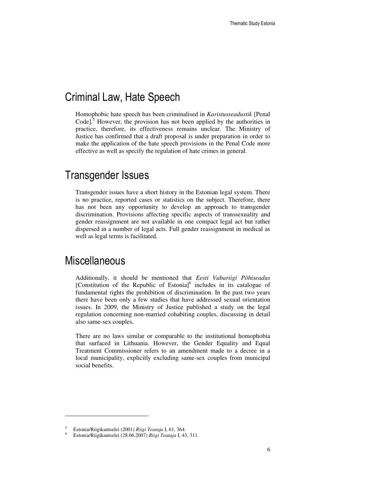#### Criminal Law, Hate Speech

Homophobic hate speech has been criminalised in *Karistusseadustik* [Penal Code]. $5$  However, the provision has not been applied by the authorities in practice, therefore, its effectiveness remains unclear. The Ministry of Justice has confirmed that a draft proposal is under preparation in order to make the application of the hate speech provisions in the Penal Code more effective as well as specify the regulation of hate crimes in general.

#### Transgender Issues

Transgender issues have a short history in the Estonian legal system. There is no practice, reported cases or statistics on the subject. Therefore, there has not been any opportunity to develop an approach to transgender discrimination. Provisions affecting specific aspects of transsexuality and gender reassignment are not available in one compact legal act but rather dispersed in a number of legal acts. Full gender reassignment in medical as well as legal terms is facilitated.

#### **Miscellaneous**

-

Additionally, it should be mentioned that *Eesti Vabariigi Põhiseadus* [Constitution of the Republic of Estonia]<sup>6</sup> includes in its catalogue of fundamental rights the prohibition of discrimination. In the past two years there have been only a few studies that have addressed sexual orientation issues. In 2009, the Ministry of Justice published a study on the legal regulation concerning non-married cohabiting couples, discussing in detail also same-sex couples.

There are no laws similar or comparable to the institutional homophobia that surfaced in Lithuania. However, the Gender Equality and Equal Treatment Commissioner refers to an amendment made to a decree in a local municipality, explicitly excluding same-sex couples from municipal social benefits.

<sup>5</sup> Estonia/Riigikantselei (2001) *Riigi Teataja* I, 61, 364.

<sup>6</sup> Estonia/Riigikantselei (28.06.2007) *Riigi Teataja* I, 43, 311.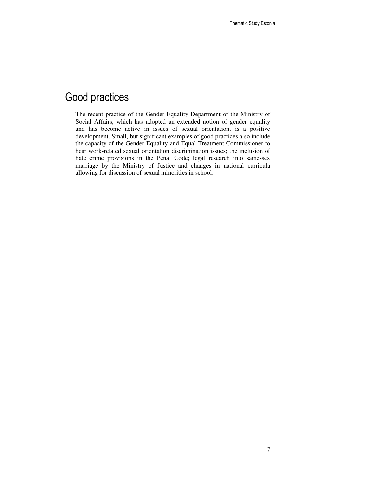### Good practices

The recent practice of the Gender Equality Department of the Ministry of Social Affairs, which has adopted an extended notion of gender equality and has become active in issues of sexual orientation, is a positive development. Small, but significant examples of good practices also include the capacity of the Gender Equality and Equal Treatment Commissioner to hear work-related sexual orientation discrimination issues; the inclusion of hate crime provisions in the Penal Code; legal research into same-sex marriage by the Ministry of Justice and changes in national curricula allowing for discussion of sexual minorities in school.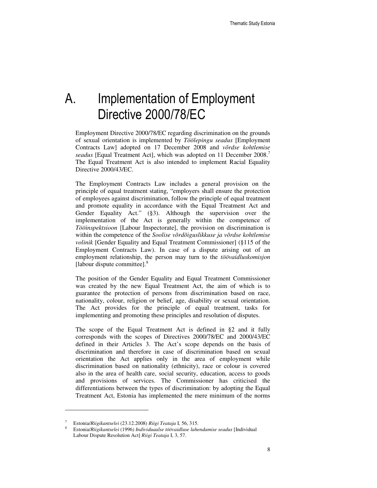# A. Implementation of Employment Directive 2000/78/EC

Employment Directive 2000/78/EC regarding discrimination on the grounds of sexual orientation is implemented by *Töölepingu seadus* [Employment Contracts Law] adopted on 17 December 2008 and *võrdse kohtlemise seadus* [Equal Treatment Act], which was adopted on 11 December 2008.<sup>7</sup> The Equal Treatment Act is also intended to implement Racial Equality Directive 2000/43/EC.

The Employment Contracts Law includes a general provision on the principle of equal treatment stating, "employers shall ensure the protection of employees against discrimination, follow the principle of equal treatment and promote equality in accordance with the Equal Treatment Act and Gender Equality Act." (§3). Although the supervision over the implementation of the Act is generally within the competence of *Tööinspektsioon* [Labour Inspectorate], the provision on discrimination is within the competence of the *Soolise võrdõiguslikkuse ja võrdse kohtlemise volinik* [Gender Equality and Equal Treatment Commissioner] (§115 of the Employment Contracts Law). In case of a dispute arising out of an employment relationship, the person may turn to the *töövaidluskomisjon* [labour dispute committee].<sup>8</sup>

The position of the Gender Equality and Equal Treatment Commissioner was created by the new Equal Treatment Act, the aim of which is to guarantee the protection of persons from discrimination based on race, nationality, colour, religion or belief, age, disability or sexual orientation. The Act provides for the principle of equal treatment, tasks for implementing and promoting these principles and resolution of disputes.

The scope of the Equal Treatment Act is defined in §2 and it fully corresponds with the scopes of Directives 2000/78/EC and 2000/43/EC defined in their Articles 3. The Act's scope depends on the basis of discrimination and therefore in case of discrimination based on sexual orientation the Act applies only in the area of employment while discrimination based on nationality (ethnicity), race or colour is covered also in the area of health care, social security, education, access to goods and provisions of services. The Commissioner has criticised the differentiations between the types of discrimination: by adopting the Equal Treatment Act, Estonia has implemented the mere minimum of the norms

<sup>7</sup> Estonia/*Riigikantselei* (23.12.2008) *Riigi Teataja* I*,* 56, 315.

<sup>8</sup> Estonia/*Riigikantselei* (1996*) Individuaalse töövaidluse lahendamise seadus* [Individual Labour Dispute Resolution Act] *Riigi Teataja* I, 3, 57.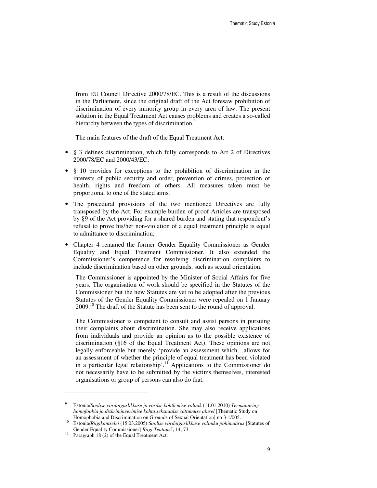from EU Council Directive 2000/78/EC. This is a result of the discussions in the Parliament, since the original draft of the Act foresaw prohibition of discrimination of every minority group in every area of law. The present solution in the Equal Treatment Act causes problems and creates a so-called hierarchy between the types of discrimination.<sup>9</sup>

The main features of the draft of the Equal Treatment Act:

- § 3 defines discrimination, which fully corresponds to Art 2 of Directives 2000/78/EC and 2000/43/EC;
- § 10 provides for exceptions to the prohibition of discrimination in the interests of public security and order, prevention of crimes, protection of health, rights and freedom of others. All measures taken must be proportional to one of the stated aims.
- The procedural provisions of the two mentioned Directives are fully transposed by the Act. For example burden of proof Articles are transposed by §9 of the Act providing for a shared burden and stating that respondent's refusal to prove his/her non-violation of a equal treatment principle is equal to admittance to discrimination;
- Chapter 4 renamed the former Gender Equality Commissioner as Gender Equality and Equal Treatment Commissioner. It also extended the Commissioner's competence for resolving discrimination complaints to include discrimination based on other grounds, such as sexual orientation.

The Commissioner is appointed by the Minister of Social Affairs for five years. The organisation of work should be specified in the Statutes of the Commissioner but the new Statutes are yet to be adopted after the previous Statutes of the Gender Equality Commissioner were repealed on 1 January 2009.<sup>10</sup> The draft of the Statute has been sent to the round of approval.

The Commissioner is competent to consult and assist persons in pursuing their complaints about discrimination. She may also receive applications from individuals and provide an opinion as to the possible existence of discrimination (§16 of the Equal Treatment Act). These opinions are not legally enforceable but merely 'provide an assessment which…allows for an assessment of whether the principle of equal treatment has been violated in a particular legal relationship'.<sup>11</sup> Applications to the Commissioner do not necessarily have to be submitted by the victims themselves, interested organisations or group of persons can also do that.

<sup>9</sup> Estonia/*Soolise võrdõiguslikkuse ja võrdse kohtlemise volinik* (11.01.2010) *Teemauuring homofoobia ja diskrimineerimise kohta seksuaalse sättumuse alusel* [Thematic Study on Homophobia and Discrimination on Grounds of Sexual Orientation] no 3-1/005.

<sup>10</sup> Estonia/*Riigikantselei* (15.03.2005) *Soolise võrdõiguslikkuse voliniku põhimäärus* [Statutes of Gender Equality Commissioner] *Riigi Teataja* I, 14, 73.

 $11$  Paragraph 18 (2) of the Equal Treatment Act.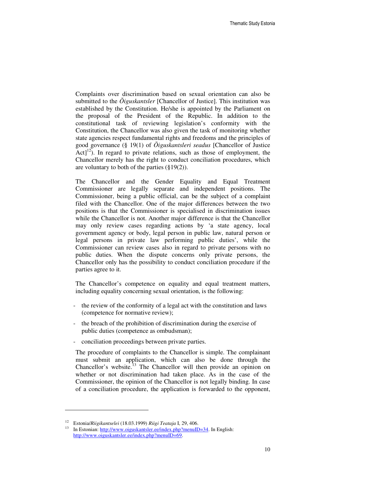Complaints over discrimination based on sexual orientation can also be submitted to the *Õiguskantsler* [Chancellor of Justice]. This institution was established by the Constitution. He/she is appointed by the Parliament on the proposal of the President of the Republic. In addition to the constitutional task of reviewing legislation's conformity with the Constitution, the Chancellor was also given the task of monitoring whether state agencies respect fundamental rights and freedoms and the principles of good governance (§ 19(1) of *Õiguskantsleri seadus* [Chancellor of Justice  $Act<sup>12</sup>$ ). In regard to private relations, such as those of employment, the Chancellor merely has the right to conduct conciliation procedures, which are voluntary to both of the parties  $(\S19(2))$ .

The Chancellor and the Gender Equality and Equal Treatment Commissioner are legally separate and independent positions. The Commissioner, being a public official, can be the subject of a complaint filed with the Chancellor. One of the major differences between the two positions is that the Commissioner is specialised in discrimination issues while the Chancellor is not. Another major difference is that the Chancellor may only review cases regarding actions by 'a state agency, local government agency or body, legal person in public law, natural person or legal persons in private law performing public duties', while the Commissioner can review cases also in regard to private persons with no public duties. When the dispute concerns only private persons, the Chancellor only has the possibility to conduct conciliation procedure if the parties agree to it.

The Chancellor's competence on equality and equal treatment matters, including equality concerning sexual orientation, is the following:

- the review of the conformity of a legal act with the constitution and laws (competence for normative review);
- the breach of the prohibition of discrimination during the exercise of public duties (competence as ombudsman);
- conciliation proceedings between private parties.

The procedure of complaints to the Chancellor is simple. The complainant must submit an application, which can also be done through the Chancellor's website.<sup>13</sup> The Chancellor will then provide an opinion on whether or not discrimination had taken place. As in the case of the Commissioner, the opinion of the Chancellor is not legally binding. In case of a conciliation procedure, the application is forwarded to the opponent,

<sup>12</sup> Estonia/*Riigikantselei* (18.03.1999) *Riigi Teataja* I, 29, 406.

<sup>13</sup> In Estonian: http://www.oiguskantsler.ee/index.php?menuID=34. In English: http://www.oiguskantsler.ee/index.php?menuID=69.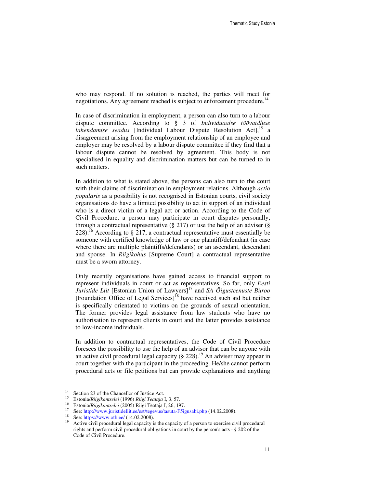who may respond. If no solution is reached, the parties will meet for negotiations. Any agreement reached is subject to enforcement procedure.<sup>14</sup>

In case of discrimination in employment, a person can also turn to a labour dispute committee. According to § 3 of *Individuaalse töövaidluse lahendamise seadus* [Individual Labour Dispute Resolution Act],<sup>15</sup> a disagreement arising from the employment relationship of an employee and employer may be resolved by a labour dispute committee if they find that a labour dispute cannot be resolved by agreement. This body is not specialised in equality and discrimination matters but can be turned to in such matters.

In addition to what is stated above, the persons can also turn to the court with their claims of discrimination in employment relations. Although *actio popularis* as a possibility is not recognised in Estonian courts, civil society organisations do have a limited possibility to act in support of an individual who is a direct victim of a legal act or action. According to the Code of Civil Procedure, a person may participate in court disputes personally, through a contractual representative  $(\S 217)$  or use the help of an adviser  $(\S$ 228).<sup>16</sup> According to § 217, a contractual representative must essentially be someone with certified knowledge of law or one plaintiff/defendant (in case where there are multiple plaintiffs/defendants) or an ascendant, descendant and spouse. In *Riigikohus* [Supreme Court] a contractual representative must be a sworn attorney.

Only recently organisations have gained access to financial support to represent individuals in court or act as representatives. So far, only *Eesti Juristide Liit* [Estonian Union of Lawyers]<sup>17</sup> and *SA Õigusteenuste Büroo* [Foundation Office of Legal Services]<sup>18</sup> have received such aid but neither is specifically orientated to victims on the grounds of sexual orientation. The former provides legal assistance from law students who have no authorisation to represent clients in court and the latter provides assistance to low-income individuals.

In addition to contractual representatives, the Code of Civil Procedure foresees the possibility to use the help of an advisor that can be anyone with an active civil procedural legal capacity  $(\S$  228).<sup>19</sup> An adviser may appear in court together with the participant in the proceeding. He/she cannot perform procedural acts or file petitions but can provide explanations and anything

<sup>&</sup>lt;sup>14</sup> Section 23 of the Chancellor of Justice Act.

<sup>15</sup> Estonia/*Riigikantselei* (1996) *Riigi Teataja* I, 3, 57.

<sup>16</sup> Estonia/*Riigikantselei* (2005) Riigi Teataja I, 26, 197.

<sup>&</sup>lt;sup>17</sup> See: http://www.juristideliit.ee/est/tegevus/tasuta-F5igusabi.php (14.02.2008).

<sup>&</sup>lt;sup>18</sup> See: https://www.otb.ee/  $(14.02.2008)$ .

Active civil procedural legal capacity is the capacity of a person to exercise civil procedural rights and perform civil procedural obligations in court by the person's acts - § 202 of the Code of Civil Procedure.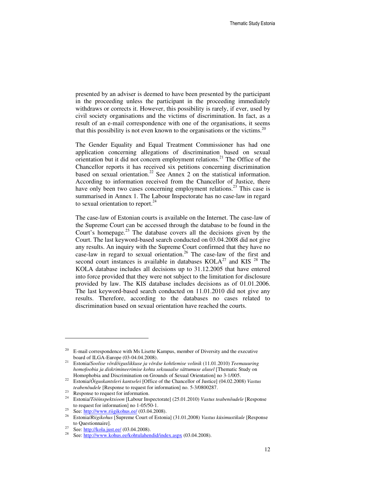presented by an adviser is deemed to have been presented by the participant in the proceeding unless the participant in the proceeding immediately withdraws or corrects it. However, this possibility is rarely, if ever, used by civil society organisations and the victims of discrimination. In fact, as a result of an e-mail correspondence with one of the organisations, it seems that this possibility is not even known to the organisations or the victims.<sup>20</sup>

The Gender Equality and Equal Treatment Commissioner has had one application concerning allegations of discrimination based on sexual orientation but it did not concern employment relations.<sup>21</sup> The Office of the Chancellor reports it has received six petitions concerning discrimination based on sexual orientation.<sup>22</sup> See Annex 2 on the statistical information. According to information received from the Chancellor of Justice, there have only been two cases concerning employment relations.<sup>23</sup> This case is summarised in Annex 1. The Labour Inspectorate has no case-law in regard to sexual orientation to report. $^{24}$ 

The case-law of Estonian courts is available on the Internet. The case-law of the Supreme Court can be accessed through the database to be found in the Court's homepage.<sup>25</sup> The database covers all the decisions given by the Court. The last keyword-based search conducted on 03.04.2008 did not give any results. An inquiry with the Supreme Court confirmed that they have no case-law in regard to sexual orientation.<sup>26</sup> The case-law of the first and second court instances is available in databases  $KOLA<sup>27</sup>$  and  $KIS<sup>28</sup>$  The KOLA database includes all decisions up to 31.12.2005 that have entered into force provided that they were not subject to the limitation for disclosure provided by law. The KIS database includes decisions as of 01.01.2006. The last keyword-based search conducted on 11.01.2010 did not give any results. Therefore, according to the databases no cases related to discrimination based on sexual orientation have reached the courts.

 $\overline{a}$ 

 $20$  E-mail correspondence with Ms Lisette Kampus, member of Diversity and the executive board of ILGA-Europe (03-04.04.2008).

<sup>21</sup> Estonia/*Soolise võrdõiguslikkuse ja võrdse kohtlemise volinik* (11.01.2010) *Teemauuring homofoobia ja diskrimineerimise kohta seksuaalse sättumuse alusel* [Thematic Study on Homophobia and Discrimination on Grounds of Sexual Orientation] no 3-1/005.

<sup>22</sup> Estonia/*Õiguskantsleri kantselei* [Office of the Chancellor of Justice] (04.02.2008) *Vastus teabenõudele* [Response to request for information] no. 5-3/0800287.

<sup>&</sup>lt;sup>23</sup> Response to request for information.

<sup>24</sup> Estonia/*Tööinspektsioon* [Labour Inspectorate] (25.01.2010) *Vastus teabenõudele* [Response to request for information] no 1-05/50-1.

<sup>&</sup>lt;sup>25</sup> See:  $\frac{http://www.riigikohus.ee/ (03.04.2008)}{Etanio/Biisikohus [Suppome Court of Etoni.}$ 

<sup>26</sup> Estonia/*Riigikohus* [Supreme Court of Estonia] (31.01,2008) *Vastus küsimustikule* [Response to Questionnaire].

<sup>&</sup>lt;sup>27</sup> See: http://kola.just.ee/  $(03.04.2008)$ .

See: http://www.kohus.ee/kohtulahendid/index.aspx (03.04.2008).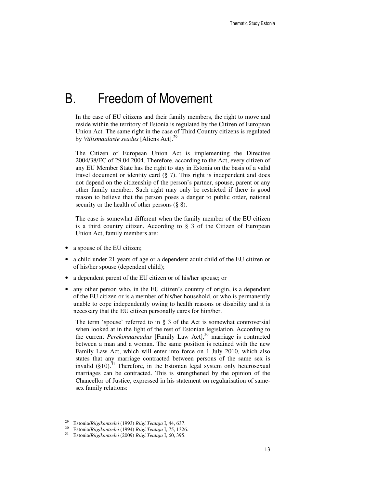### B. Freedom of Movement

In the case of EU citizens and their family members, the right to move and reside within the territory of Estonia is regulated by the Citizen of European Union Act. The same right in the case of Third Country citizens is regulated by *Välismaalaste seadus* [Aliens Act].<sup>29</sup>

The Citizen of European Union Act is implementing the Directive 2004/38/EC of 29.04.2004. Therefore, according to the Act, every citizen of any EU Member State has the right to stay in Estonia on the basis of a valid travel document or identity card (§ 7). This right is independent and does not depend on the citizenship of the person's partner, spouse, parent or any other family member. Such right may only be restricted if there is good reason to believe that the person poses a danger to public order, national security or the health of other persons (§ 8).

The case is somewhat different when the family member of the EU citizen is a third country citizen. According to § 3 of the Citizen of European Union Act, family members are:

- a spouse of the EU citizen;
- a child under 21 years of age or a dependent adult child of the EU citizen or of his/her spouse (dependent child);
- a dependent parent of the EU citizen or of his/her spouse; or
- any other person who, in the EU citizen's country of origin, is a dependant of the EU citizen or is a member of his/her household, or who is permanently unable to cope independently owing to health reasons or disability and it is necessary that the EU citizen personally cares for him/her.

The term 'spouse' referred to in  $\S$  3 of the Act is somewhat controversial when looked at in the light of the rest of Estonian legislation. According to the current *Perekonnaseadus* [Family Law Act],<sup>30</sup> marriage is contracted between a man and a woman. The same position is retained with the new Family Law Act, which will enter into force on 1 July 2010, which also states that any marriage contracted between persons of the same sex is invalid  $(\S10)^{31}$  Therefore, in the Estonian legal system only heterosexual marriages can be contracted. This is strengthened by the opinion of the Chancellor of Justice, expressed in his statement on regularisation of samesex family relations:

<sup>29</sup> Estonia/*Riigikantselei* (1993) *Riigi Teataja* I, 44, 637.

<sup>30</sup> Estonia/*Riigikantselei* (1994) *Riigi Teataja* I, 75, 1326.

<sup>31</sup> Estonia/*Riigikantselei* (2009) *Riigi Teataja* I, 60, 395.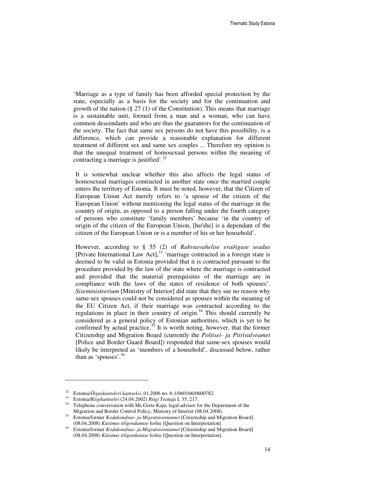'Marriage as a type of family has been afforded special protection by the state, especially as a basis for the society and for the continuation and growth of the nation  $(\S 27 (1)$  of the Constitution). This means that marriage is a sustainable unit, formed from a man and a woman, who can have common descendants and who are thus the guarantors for the continuation of the society. The fact that same sex persons do not have this possibility, is a difference, which can provide a reasonable explanation for different treatment of different sex and same sex couples ... Therefore my opinion is that the unequal treatment of homosexual persons within the meaning of contracting a marriage is justified'.<sup>32</sup>

It is somewhat unclear whether this also affects the legal status of homosexual marriages contracted in another state once the married couple enters the territory of Estonia. It must be noted, however, that the Citizen of European Union Act merely refers to 'a spouse of the citizen of the European Union' without mentioning the legal status of the marriage in the country of origin, as opposed to a person falling under the fourth category of persons who constitute 'family members' because 'in the country of origin of the citizen of the European Union, [he/she] is a dependant of the citizen of the European Union or is a member of his or her household'.

However, according to § 55 (2) of *Rahvusvahelise eraõiguse seadus* [Private International Law Act], $33$  'marriage contracted in a foreign state is deemed to be valid in Estonia provided that it is contracted pursuant to the procedure provided by the law of the state where the marriage is contracted and provided that the material prerequisites of the marriage are in compliance with the laws of the states of residence of both spouses'. *Siseministeerium* [Ministry of Interior] did state that they see no reason why same-sex spouses could not be considered as spouses within the meaning of the EU Citizen Act, if their marriage was contracted according to the regulations in place in their country of origin. $34$  This should currently be considered as a general policy of Estonian authorities, which is yet to be confirmed by actual practice. $35$  It is worth noting, however, that the former Citizenship and Migration Board (currently the *Politsei- ja Piirivalveamet* [Police and Border Guard Board]) responded that same-sex spouses would likely be interpreted as 'members of a household', discussed below, rather than as 'spouses'.<sup>36</sup>

<sup>32</sup> Estonia/*Õiguskantsleri kantselei*, 01.2006 no. 6-1/060166/0600782.

<sup>33</sup> Estonia/*Riigikantselei* (24.04.2002) *Riigi Teataja* I, 35, 217.

Telephone conversation with Ms Grete Kaju, legal advisor for the Department of the Migration and Border Control Policy, Ministry of Interior (08.04.2008).

<sup>35</sup> Estonia/former *Kodakondsus- ja Migratsiooniamet* [Citizenship and Migration Board] (08.04.2008) *Küsimus tõlgendamise kohta* [Question on Interpretation].

<sup>36</sup> Estonia/former *Kodakondsus- ja Migratsiooniamet* [Citizenship and Migration Board] (08.04.2008) *Küsimus tõlgendamise kohta* [Question on Interpretation].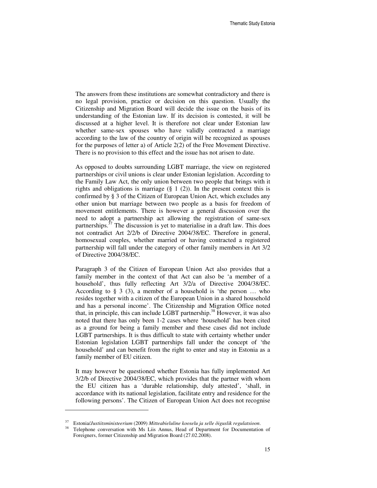The answers from these institutions are somewhat contradictory and there is no legal provision, practice or decision on this question. Usually the Citizenship and Migration Board will decide the issue on the basis of its understanding of the Estonian law. If its decision is contested, it will be discussed at a higher level. It is therefore not clear under Estonian law whether same-sex spouses who have validly contracted a marriage according to the law of the country of origin will be recognized as spouses for the purposes of letter a) of Article 2(2) of the Free Movement Directive. There is no provision to this effect and the issue has not arisen to date.

As opposed to doubts surrounding LGBT marriage, the view on registered partnerships or civil unions is clear under Estonian legislation. According to the Family Law Act, the only union between two people that brings with it rights and obligations is marriage  $(\S 1 (2))$ . In the present context this is confirmed by § 3 of the Citizen of European Union Act, which excludes any other union but marriage between two people as a basis for freedom of movement entitlements. There is however a general discussion over the need to adopt a partnership act allowing the registration of same-sex partnerships.<sup>37</sup> The discussion is yet to materialise in a draft law. This does not contradict Art 2/2/b of Directive 2004/38/EC. Therefore in general, homosexual couples, whether married or having contracted a registered partnership will fall under the category of other family members in Art 3/2 of Directive 2004/38/EC.

Paragraph 3 of the Citizen of European Union Act also provides that a family member in the context of that Act can also be 'a member of a household', thus fully reflecting Art 3/2/a of Directive 2004/38/EC. According to  $\S$  3 (3), a member of a household is 'the person ... who resides together with a citizen of the European Union in a shared household and has a personal income'. The Citizenship and Migration Office noted that, in principle, this can include LGBT partnership.<sup>38</sup> However, it was also noted that there has only been 1-2 cases where 'household' has been cited as a ground for being a family member and these cases did not include LGBT partnerships. It is thus difficult to state with certainty whether under Estonian legislation LGBT partnerships fall under the concept of 'the household' and can benefit from the right to enter and stay in Estonia as a family member of EU citizen.

It may however be questioned whether Estonia has fully implemented Art 3/2/b of Directive 2004/38/EC, which provides that the partner with whom the EU citizen has a 'durable relationship, duly attested', 'shall, in accordance with its national legislation, facilitate entry and residence for the following persons'. The Citizen of European Union Act does not recognise

<sup>37</sup> Estonia/*Justiitsministeerium* (2009) *Mitteabieluline kooselu ja selle õiguslik regulatsioon*.

Telephone conversation with Ms Liis Annus, Head of Department for Documentation of Foreigners, former Citizenship and Migration Board (27.02.2008).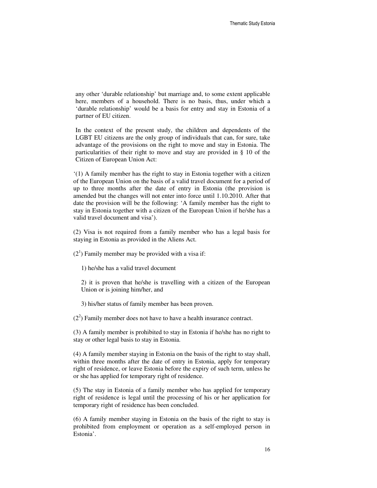any other 'durable relationship' but marriage and, to some extent applicable here, members of a household. There is no basis, thus, under which a 'durable relationship' would be a basis for entry and stay in Estonia of a partner of EU citizen.

In the context of the present study, the children and dependents of the LGBT EU citizens are the only group of individuals that can, for sure, take advantage of the provisions on the right to move and stay in Estonia. The particularities of their right to move and stay are provided in § 10 of the Citizen of European Union Act:

'(1) A family member has the right to stay in Estonia together with a citizen of the European Union on the basis of a valid travel document for a period of up to three months after the date of entry in Estonia (the provision is amended but the changes will not enter into force until 1.10.2010. After that date the provision will be the following: 'A family member has the right to stay in Estonia together with a citizen of the European Union if he/she has a valid travel document and visa').

(2) Visa is not required from a family member who has a legal basis for staying in Estonia as provided in the Aliens Act.

 $(2<sup>1</sup>)$  Family member may be provided with a visa if:

1) he/she has a valid travel document

2) it is proven that he/she is travelling with a citizen of the European Union or is joining him/her, and

3) his/her status of family member has been proven.

 $(2<sup>2</sup>)$  Family member does not have to have a health insurance contract.

(3) A family member is prohibited to stay in Estonia if he/she has no right to stay or other legal basis to stay in Estonia.

(4) A family member staying in Estonia on the basis of the right to stay shall, within three months after the date of entry in Estonia, apply for temporary right of residence, or leave Estonia before the expiry of such term, unless he or she has applied for temporary right of residence.

(5) The stay in Estonia of a family member who has applied for temporary right of residence is legal until the processing of his or her application for temporary right of residence has been concluded.

(6) A family member staying in Estonia on the basis of the right to stay is prohibited from employment or operation as a self-employed person in Estonia'.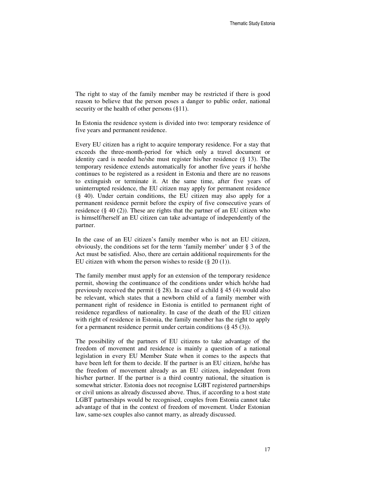The right to stay of the family member may be restricted if there is good reason to believe that the person poses a danger to public order, national security or the health of other persons (§11).

In Estonia the residence system is divided into two: temporary residence of five years and permanent residence.

Every EU citizen has a right to acquire temporary residence. For a stay that exceeds the three-month-period for which only a travel document or identity card is needed he/she must register his/her residence (§ 13). The temporary residence extends automatically for another five years if he/she continues to be registered as a resident in Estonia and there are no reasons to extinguish or terminate it. At the same time, after five years of uninterrupted residence, the EU citizen may apply for permanent residence (§ 40). Under certain conditions, the EU citizen may also apply for a permanent residence permit before the expiry of five consecutive years of residence (§ 40 (2)). These are rights that the partner of an EU citizen who is himself/herself an EU citizen can take advantage of independently of the partner.

In the case of an EU citizen's family member who is not an EU citizen, obviously, the conditions set for the term 'family member' under § 3 of the Act must be satisfied. Also, there are certain additional requirements for the EU citizen with whom the person wishes to reside  $(\S 20 (1))$ .

The family member must apply for an extension of the temporary residence permit, showing the continuance of the conditions under which he/she had previously received the permit ( $\S$  28). In case of a child  $\S$  45 (4) would also be relevant, which states that a newborn child of a family member with permanent right of residence in Estonia is entitled to permanent right of residence regardless of nationality. In case of the death of the EU citizen with right of residence in Estonia, the family member has the right to apply for a permanent residence permit under certain conditions (§ 45 (3)).

The possibility of the partners of EU citizens to take advantage of the freedom of movement and residence is mainly a question of a national legislation in every EU Member State when it comes to the aspects that have been left for them to decide. If the partner is an EU citizen, he/she has the freedom of movement already as an EU citizen, independent from his/her partner. If the partner is a third country national, the situation is somewhat stricter. Estonia does not recognise LGBT registered partnerships or civil unions as already discussed above. Thus, if according to a host state LGBT partnerships would be recognised, couples from Estonia cannot take advantage of that in the context of freedom of movement. Under Estonian law, same-sex couples also cannot marry, as already discussed.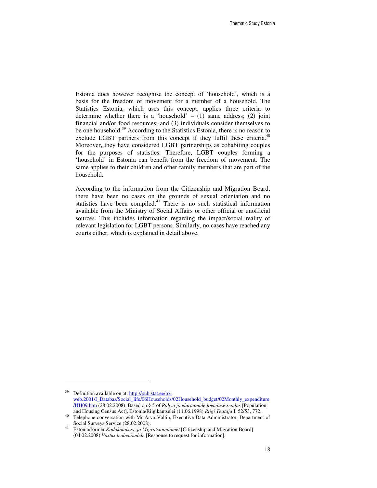Estonia does however recognise the concept of 'household', which is a basis for the freedom of movement for a member of a household. The Statistics Estonia, which uses this concept, applies three criteria to determine whether there is a 'household'  $- (1)$  same address; (2) joint financial and/or food resources; and (3) individuals consider themselves to be one household.<sup>39</sup> According to the Statistics Estonia, there is no reason to exclude LGBT partners from this concept if they fulfil these criteria.<sup>40</sup> Moreover, they have considered LGBT partnerships as cohabiting couples for the purposes of statistics. Therefore, LGBT couples forming a 'household' in Estonia can benefit from the freedom of movement. The same applies to their children and other family members that are part of the household.

According to the information from the Citizenship and Migration Board, there have been no cases on the grounds of sexual orientation and no statistics have been compiled. $41$  There is no such statistical information available from the Ministry of Social Affairs or other official or unofficial sources. This includes information regarding the impact/social reality of relevant legislation for LGBT persons. Similarly, no cases have reached any courts either, which is explained in detail above.

Definition available on at: http://pub.stat.ee/pxweb.2001/I\_Databas/Social\_life/06Households/02Household\_budget/02Monthly\_expenditure /HH09.htm (28.02.2008). Based on § 5 of *Rahva ja eluruumide loenduse seadus* [Population and Housing Census Act], Estonia/Riigikantselei (11.06.1998) *Riigi Teataja* I, 52/53, 772.

<sup>40</sup> Telephone conversation with Mr Arvo Valtin, Executive Data Administrator, Department of Social Surveys Service (28.02.2008).

<sup>41</sup> Estonia/former *Kodakondsus- ja Migratsiooniamet* [Citizenship and Migration Board] (04.02.2008) *Vastus teabenõudele* [Response to request for information].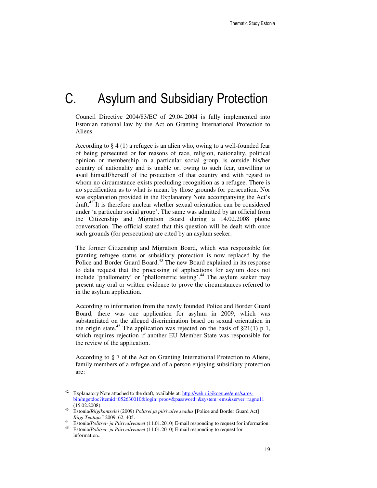## C. Asylum and Subsidiary Protection

Council Directive 2004/83/EC of 29.04.2004 is fully implemented into Estonian national law by the Act on Granting International Protection to Aliens.

According to § 4 (1) a refugee is an alien who, owing to a well-founded fear of being persecuted or for reasons of race, religion, nationality, political opinion or membership in a particular social group, is outside his/her country of nationality and is unable or, owing to such fear, unwilling to avail himself/herself of the protection of that country and with regard to whom no circumstance exists precluding recognition as a refugee. There is no specification as to what is meant by those grounds for persecution. Nor was explanation provided in the Explanatory Note accompanying the Act's  $dr$ aft.<sup>42</sup> It is therefore unclear whether sexual orientation can be considered under 'a particular social group'. The same was admitted by an official from the Citizenship and Migration Board during a 14.02.2008 phone conversation. The official stated that this question will be dealt with once such grounds (for persecution) are cited by an asylum seeker.

The former Citizenship and Migration Board, which was responsible for granting refugee status or subsidiary protection is now replaced by the Police and Border Guard Board.<sup>43</sup> The new Board explained in its response to data request that the processing of applications for asylum does not include 'phallometry' or 'phallometric testing'.<sup>44</sup> The asylum seeker may present any oral or written evidence to prove the circumstances referred to in the asylum application.

According to information from the newly founded Police and Border Guard Board, there was one application for asylum in 2009, which was substantiated on the alleged discrimination based on sexual orientation in the origin state.<sup>45</sup> The application was rejected on the basis of  $\S21(1)$  p 1, which requires rejection if another EU Member State was responsible for the review of the application.

According to § 7 of the Act on Granting International Protection to Aliens, family members of a refugee and of a person enjoying subsidiary protection are:

Explanatory Note attached to the draft, available at: http://web.riigikogu.ee/ems/sarosbin/mgetdoc?itemid=052630010&login=proov&password=&system=ems&server=ragne11 (15.02.2008).

<sup>43</sup> Estonia/*Riigikantselei* (2009) *Politsei ja piirivalve seadus* [Police and Border Guard Act] *Riigi Teataja* I 2009, 62, 405.

<sup>44</sup> Estonia/*Politsei- ja Piirivalveamet* (11.01.2010) E-mail responding to request for information.

<sup>45</sup> Estonia/*Politsei- ja Piirivalveamet* (11.01.2010) E-mail responding to request for information..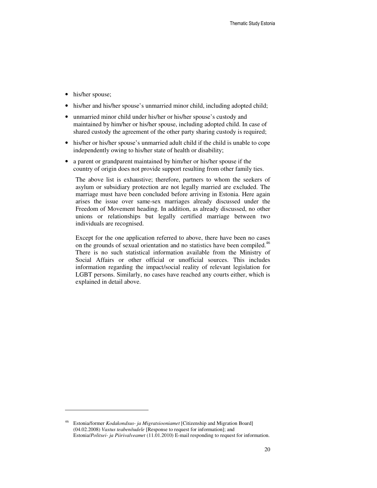• his/her spouse;

l

- his/her and his/her spouse's unmarried minor child, including adopted child;
- unmarried minor child under his/her or his/her spouse's custody and maintained by him/her or his/her spouse, including adopted child. In case of shared custody the agreement of the other party sharing custody is required;
- his/her or his/her spouse's unmarried adult child if the child is unable to cope independently owing to his/her state of health or disability;
- a parent or grandparent maintained by him/her or his/her spouse if the country of origin does not provide support resulting from other family ties.

The above list is exhaustive; therefore, partners to whom the seekers of asylum or subsidiary protection are not legally married are excluded. The marriage must have been concluded before arriving in Estonia. Here again arises the issue over same-sex marriages already discussed under the Freedom of Movement heading. In addition, as already discussed, no other unions or relationships but legally certified marriage between two individuals are recognised.

Except for the one application referred to above, there have been no cases on the grounds of sexual orientation and no statistics have been compiled.<sup>46</sup> There is no such statistical information available from the Ministry of Social Affairs or other official or unofficial sources. This includes information regarding the impact/social reality of relevant legislation for LGBT persons. Similarly, no cases have reached any courts either, which is explained in detail above.

<sup>46</sup> Estonia/former *Kodakondsus- ja Migratsiooniamet* [Citizenship and Migration Board] (04.02.2008) *Vastus teabenõudele* [Response to request for information]; and Estonia/*Politsei- ja Piirivalveamet* (11.01.2010) E-mail responding to request for information.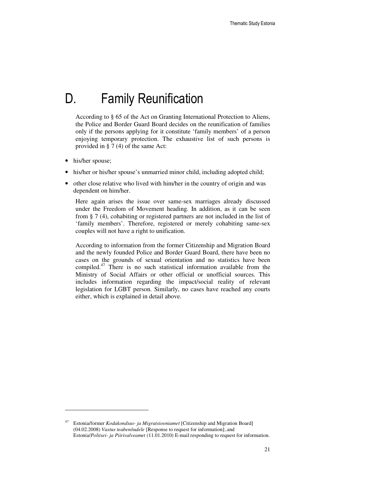# D. Family Reunification

According to § 65 of the Act on Granting International Protection to Aliens, the Police and Border Guard Board decides on the reunification of families only if the persons applying for it constitute 'family members' of a person enjoying temporary protection. The exhaustive list of such persons is provided in § 7 (4) of the same Act:

• his/her spouse;

l

- his/her or his/her spouse's unmarried minor child, including adopted child;
- other close relative who lived with him/her in the country of origin and was dependent on him/her.

Here again arises the issue over same-sex marriages already discussed under the Freedom of Movement heading. In addition, as it can be seen from § 7 (4), cohabiting or registered partners are not included in the list of 'family members'. Therefore, registered or merely cohabiting same-sex couples will not have a right to unification.

According to information from the former Citizenship and Migration Board and the newly founded Police and Border Guard Board, there have been no cases on the grounds of sexual orientation and no statistics have been compiled.<sup>47</sup> There is no such statistical information available from the Ministry of Social Affairs or other official or unofficial sources. This includes information regarding the impact/social reality of relevant legislation for LGBT person. Similarly, no cases have reached any courts either, which is explained in detail above.

<sup>47</sup> Estonia/former *Kodakondsus- ja Migratsiooniamet* [Citizenship and Migration Board] (04.02.2008) *Vastus teabenõudele* [Response to request for information];.and Estonia/*Politsei- ja Piirivalveamet* (11.01.2010) E-mail responding to request for information.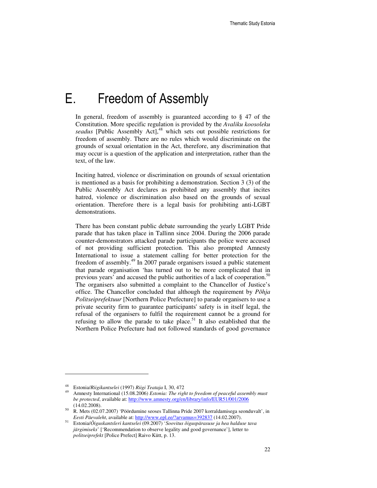## E. Freedom of Assembly

In general, freedom of assembly is guaranteed according to § 47 of the Constitution. More specific regulation is provided by the *Avaliku koosoleku*  seadus [Public Assembly Act],<sup>48</sup> which sets out possible restrictions for freedom of assembly. There are no rules which would discriminate on the grounds of sexual orientation in the Act, therefore, any discrimination that may occur is a question of the application and interpretation, rather than the text, of the law.

Inciting hatred, violence or discrimination on grounds of sexual orientation is mentioned as a basis for prohibiting a demonstration. Section 3 (3) of the Public Assembly Act declares as prohibited any assembly that incites hatred, violence or discrimination also based on the grounds of sexual orientation. Therefore there is a legal basis for prohibiting anti-LGBT demonstrations.

There has been constant public debate surrounding the yearly LGBT Pride parade that has taken place in Tallinn since 2004. During the 2006 parade counter-demonstrators attacked parade participants the police were accused of not providing sufficient protection. This also prompted Amnesty International to issue a statement calling for better protection for the freedom of assembly.<sup>49</sup> In 2007 parade organisers issued a public statement that parade organisation 'has turned out to be more complicated that in previous years' and accused the public authorities of a lack of cooperation.<sup>50</sup> The organisers also submitted a complaint to the Chancellor of Justice's office. The Chancellor concluded that although the requirement by *Põhja Politseiprefektuur* [Northern Police Prefecture] to parade organisers to use a private security firm to guarantee participants' safety is in itself legal, the refusal of the organisers to fulfil the requirement cannot be a ground for refusing to allow the parade to take place.<sup>51</sup> It also established that the Northern Police Prefecture had not followed standards of good governance

 $\overline{a}$ 

<sup>48</sup> Estonia/*Riigikantselei* (1997) *Riigi Teataja* I, 30, 472

<sup>49</sup> Amnesty International (15.08.2006) *Estonia: The right to freedom of peaceful assembly must be protected*, available at: http://www.amnesty.org/en/library/info/EUR51/001/2006 (14.02.2008).

<sup>50</sup> R. Mets (02.07.2007) 'Pöördumine seoses Tallinna Pride 2007 korraldamisega seonduvalt', in *Eesti Päevaleht*, available at: http://www.epl.ee/?arvamus=392837 (14.02.2007).

<sup>51</sup> Estonia/*Õiguskantsleri kantselei* (09.2007) '*Soovitus õiguspärasuse ja hea halduse tava järgimiseks*' ['Recommendation to observe legality and good governance'], letter to *politseiprefekt* [Police Prefect] Raivo Kütt, p. 13.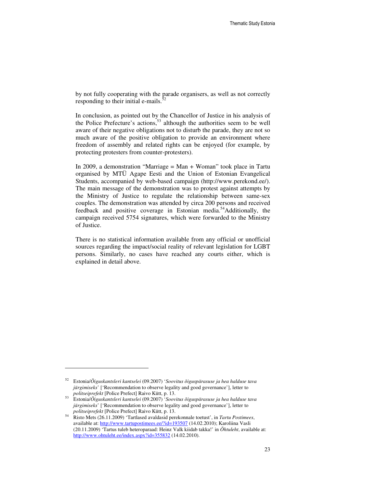by not fully cooperating with the parade organisers, as well as not correctly responding to their initial e-mails.<sup>5</sup>

In conclusion, as pointed out by the Chancellor of Justice in his analysis of the Police Prefecture's actions,<sup>53</sup> although the authorities seem to be well aware of their negative obligations not to disturb the parade, they are not so much aware of the positive obligation to provide an environment where freedom of assembly and related rights can be enjoyed (for example, by protecting protesters from counter-protesters).

In 2009, a demonstration "Marriage  $=$  Man  $+$  Woman" took place in Tartu organised by MTÜ Agape Eesti and the Union of Estonian Evangelical Students, accompanied by web-based campaign (http://www.perekond.ee/). The main message of the demonstration was to protest against attempts by the Ministry of Justice to regulate the relationship between same-sex couples. The demonstration was attended by circa 200 persons and received feedback and positive coverage in Estonian media.<sup>54</sup>Additionally, the campaign received 5754 signatures, which were forwarded to the Ministry of Justice.

There is no statistical information available from any official or unofficial sources regarding the impact/social reality of relevant legislation for LGBT persons. Similarly, no cases have reached any courts either, which is explained in detail above.

 $\overline{a}$ 

<sup>52</sup> Estonia/*Õiguskantsleri kantselei* (09.2007) '*Soovitus õiguspärasuse ja hea halduse tava järgimiseks*' ['Recommendation to observe legality and good governance'], letter to *politseiprefekt* [Police Prefect] Raivo Kütt, p. 13.

<sup>53</sup> Estonia/*Õiguskantsleri kantselei* (09.2007) '*Soovitus õiguspärasuse ja hea halduse tava järgimiseks*' ['Recommendation to observe legality and good governance'], letter to *politseiprefekt* [Police Prefect] Raivo Kütt, p. 13.

<sup>54</sup> Risto Mets (26.11.2009) 'Tartlased avaldasid perekonnale toetust', in *Tartu Postimees*, available at: http://www.tartupostimees.ee/?id=193507 (14.02.2010); Karoliina Vasli (20.11.2009) 'Tartus tuleb heteroparaad: Heinz Valk kiidab takka!' in *Õhtuleht*, available at: http://www.ohtuleht.ee/index.aspx?id=355832 (14.02.2010).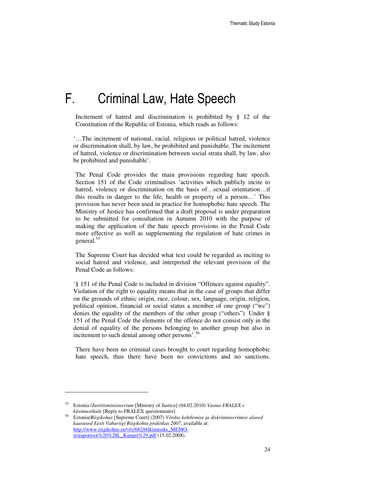# F. Criminal Law, Hate Speech

Incitement of hatred and discrimination is prohibited by § 12 of the Constitution of the Republic of Estonia, which reads as follows:

'…The incitement of national, racial, religious or political hatred, violence or discrimination shall, by law, be prohibited and punishable. The incitement of hatred, violence or discrimination between social strata shall, by law, also be prohibited and punishable'.

The Penal Code provides the main provisions regarding hate speech. Section 151 of the Code criminalises 'activities which publicly incite to hatred, violence or discrimination on the basis of…sexual orientation…if this results in danger to the life, health or property of a person…' This provision has never been used in practice for homophobic hate speech. The Ministry of Justice has confirmed that a draft proposal is under preparation to be submitted for consultation in Autumn 2010 with the purpose of making the application of the hate speech provisions in the Penal Code more effective as well as supplementing the regulation of hate crimes in general.<sup>55</sup>

The Supreme Court has decided what text could be regarded as inciting to social hatred and violence, and interpreted the relevant provision of the Penal Code as follows:

'§ 151 of the Penal Code is included in division "Offences against equality". Violation of the right to equality means that in the case of groups that differ on the grounds of ethnic origin, race, colour, sex, language, origin, religion, political opinion, financial or social status a member of one group ("we") denies the equality of the members of the other group ("others"). Under § 151 of the Penal Code the elements of the offence do not consist only in the denial of equality of the persons belonging to another group but also in incitement to such denial among other persons'.<sup>56</sup>

There have been no criminal cases brought to court regarding homophobic hate speech, thus there have been no convictions and no sanctions.

<sup>55</sup> Estonia /*Justiitsministeerium* [Ministry of Justice] (04.02.2010) *Vastus FRALEX-i*  kü*simustikule* [Reply to FRALEX questionnaire]

<sup>56</sup> Estonia/*Riigikohus* [Supreme Court] (2007) *Võrdse kohtlemise ja diskrimineerimise alased kaasused Eesti Vabariigi Riigikohtu praktikas 2007,* available at: http://www.riigikohus.ee/vfs/682/t6lkimiseks\_MEMOeriraportoor%20%28L\_Kanger%29.pdf (15.02.2008).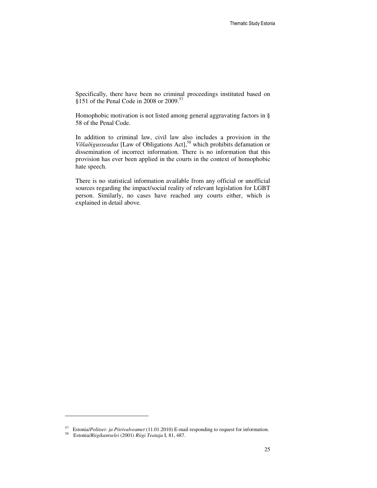Specifically, there have been no criminal proceedings instituted based on §151 of the Penal Code in 2008 or 2009.<sup>57</sup>

Homophobic motivation is not listed among general aggravating factors in § 58 of the Penal Code.

In addition to criminal law, civil law also includes a provision in the *Võlaõigusseadus* [Law of Obligations Act],<sup>58</sup> which prohibits defamation or dissemination of incorrect information. There is no information that this provision has ever been applied in the courts in the context of homophobic hate speech.

There is no statistical information available from any official or unofficial sources regarding the impact/social reality of relevant legislation for LGBT person. Similarly, no cases have reached any courts either, which is explained in detail above.

-

<sup>57</sup> Estonia/*Politsei- ja Piirivalveamet* (11.01.2010) E-mail responding to request for information.

<sup>58</sup> Estonia/*Riigikantselei* (2001) *Riigi Teataja* I, 81, 487.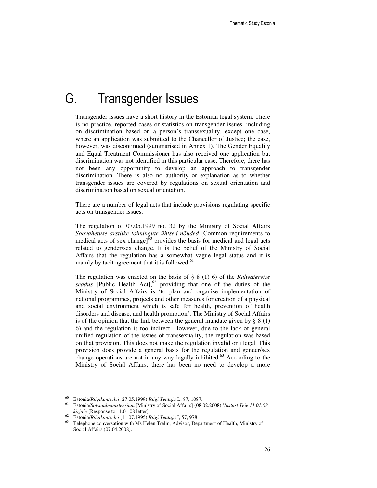### G. Transgender Issues

Transgender issues have a short history in the Estonian legal system. There is no practice, reported cases or statistics on transgender issues, including on discrimination based on a person's transsexuality, except one case, where an application was submitted to the Chancellor of Justice; the case, however, was discontinued (summarised in Annex 1). The Gender Equality and Equal Treatment Commissioner has also received one application but discrimination was not identified in this particular case. Therefore, there has not been any opportunity to develop an approach to transgender discrimination. There is also no authority or explanation as to whether transgender issues are covered by regulations on sexual orientation and discrimination based on sexual orientation.

There are a number of legal acts that include provisions regulating specific acts on transgender issues.

The regulation of 07.05.1999 no. 32 by the Ministry of Social Affairs *Soovahetuse arstlike toimingute ühtsed nõuded* [Common requirements to medical acts of sex change] $\delta^0$  provides the basis for medical and legal acts related to gender/sex change. It is the belief of the Ministry of Social Affairs that the regulation has a somewhat vague legal status and it is mainly by tacit agreement that it is followed. $61$ 

The regulation was enacted on the basis of § 8 (1) 6) of the *Rahvatervise*  seadus [Public Health Act],<sup>62</sup> providing that one of the duties of the Ministry of Social Affairs is 'to plan and organise implementation of national programmes, projects and other measures for creation of a physical and social environment which is safe for health, prevention of health disorders and disease, and health promotion'. The Ministry of Social Affairs is of the opinion that the link between the general mandate given by  $\S 8(1)$ 6) and the regulation is too indirect. However, due to the lack of general unified regulation of the issues of transsexuality, the regulation was based on that provision. This does not make the regulation invalid or illegal. This provision does provide a general basis for the regulation and gender/sex change operations are not in any way legally inhibited. $63$  According to the Ministry of Social Affairs, there has been no need to develop a more

<sup>60</sup> Estonia/*Riigikantselei* (27.05.1999) *Riigi Teataja* L, 87, 1087.

<sup>61</sup> Estonia/*Sotsiaalministeerium* [Ministry of Social Affairs] (08.02.2008) *Vastust Teie 11.01.08 kirjale* [Response to 11.01.08 letter].

<sup>62</sup> Estonia/*Riigikantselei* (11.07.1995) *Riigi Teataja* I, 57, 978.

Telephone conversation with Ms Helen Trelin, Advisor, Department of Health, Ministry of Social Affairs (07.04.2008).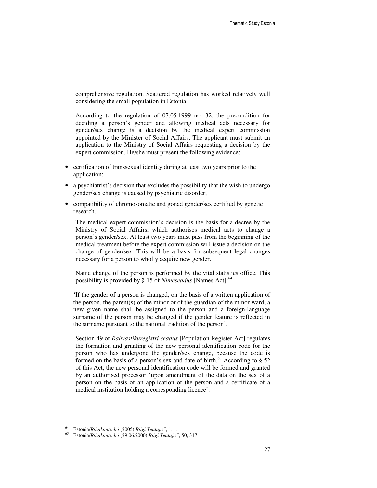comprehensive regulation. Scattered regulation has worked relatively well considering the small population in Estonia.

According to the regulation of 07.05.1999 no. 32, the precondition for deciding a person's gender and allowing medical acts necessary for gender/sex change is a decision by the medical expert commission appointed by the Minister of Social Affairs. The applicant must submit an application to the Ministry of Social Affairs requesting a decision by the expert commission. He/she must present the following evidence:

- certification of transsexual identity during at least two years prior to the application;
- a psychiatrist's decision that excludes the possibility that the wish to undergo gender/sex change is caused by psychiatric disorder;
- compatibility of chromosomatic and gonad gender/sex certified by genetic research.

The medical expert commission's decision is the basis for a decree by the Ministry of Social Affairs, which authorises medical acts to change a person's gender/sex. At least two years must pass from the beginning of the medical treatment before the expert commission will issue a decision on the change of gender/sex. This will be a basis for subsequent legal changes necessary for a person to wholly acquire new gender.

Name change of the person is performed by the vital statistics office. This possibility is provided by § 15 of *Nimeseadus* [Names Act]:<sup>64</sup>

'If the gender of a person is changed, on the basis of a written application of the person, the parent(s) of the minor or of the guardian of the minor ward, a new given name shall be assigned to the person and a foreign-language surname of the person may be changed if the gender feature is reflected in the surname pursuant to the national tradition of the person'.

Section 49 of *Rahvastikuregistri seadus* [Population Register Act] regulates the formation and granting of the new personal identification code for the person who has undergone the gender/sex change, because the code is formed on the basis of a person's sex and date of birth.<sup>65</sup> According to  $\S$  52 of this Act, the new personal identification code will be formed and granted by an authorised processor 'upon amendment of the data on the sex of a person on the basis of an application of the person and a certificate of a medical institution holding a corresponding licence'.

-

<sup>64</sup> Estonia/*Riigikantselei* (2005) *Riigi Teataja* I, 1, 1.

<sup>65</sup> Estonia/*Riigikantselei* (29.06.2000) *Riigi Teataja* I, 50, 317.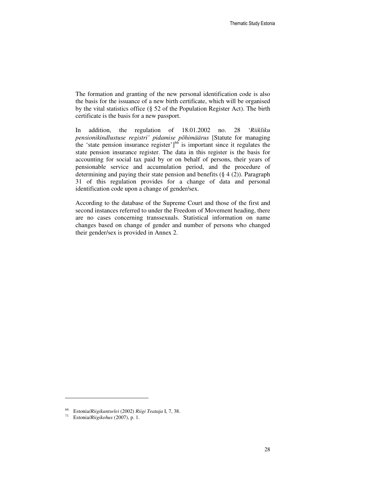The formation and granting of the new personal identification code is also the basis for the issuance of a new birth certificate, which will be organised by the vital statistics office (§ 52 of the Population Register Act). The birth certificate is the basis for a new passport.

In addition, the regulation of 18.01.2002 no. 28 '*Riikliku pensionikindlustuse registri' pidamise põhimäärus* [Statute for managing the 'state pension insurance register' $]^{66}$  is important since it regulates the state pension insurance register. The data in this register is the basis for accounting for social tax paid by or on behalf of persons, their years of pensionable service and accumulation period, and the procedure of determining and paying their state pension and benefits  $(\S 4 (2))$ . Paragraph 31 of this regulation provides for a change of data and personal identification code upon a change of gender/sex.

According to the database of the Supreme Court and those of the first and second instances referred to under the Freedom of Movement heading, there are no cases concerning transsexuals. Statistical information on name changes based on change of gender and number of persons who changed their gender/sex is provided in Annex 2.

<sup>66</sup> Estonia/*Riigikantselei* (2002) *Riigi Teataja* I, 7, 38.

<sup>71</sup> Estonia/*Riigikohus* (2007), p. 1.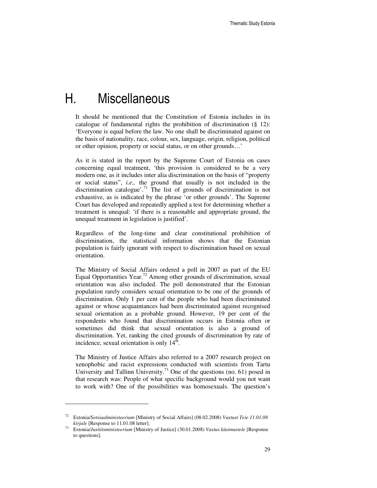### H. Miscellaneous

It should be mentioned that the Constitution of Estonia includes in its catalogue of fundamental rights the prohibition of discrimination (§ 12): 'Everyone is equal before the law. No one shall be discriminated against on the basis of nationality, race, colour, sex, language, origin, religion, political or other opinion, property or social status, or on other grounds…'

As it is stated in the report by the Supreme Court of Estonia on cases concerning equal treatment, 'this provision is considered to be a very modern one, as it includes inter alia discrimination on the basis of "property or social status", *i.e.,* the ground that usually is not included in the discrimination catalogue'.<sup>71</sup> The list of grounds of discrimination is not exhaustive, as is indicated by the phrase 'or other grounds'. The Supreme Court has developed and repeatedly applied a test for determining whether a treatment is unequal: 'if there is a reasonable and appropriate ground, the unequal treatment in legislation is justified'.

Regardless of the long-time and clear constitutional prohibition of discrimination, the statistical information shows that the Estonian population is fairly ignorant with respect to discrimination based on sexual orientation.

The Ministry of Social Affairs ordered a poll in 2007 as part of the EU Equal Opportunities Year.<sup>72</sup> Among other grounds of discrimination, sexual orientation was also included. The poll demonstrated that the Estonian population rarely considers sexual orientation to be one of the grounds of discrimination. Only 1 per cent of the people who had been discriminated against or whose acquaintances had been discriminated against recognised sexual orientation as a probable ground. However, 19 per cent of the respondents who found that discrimination occurs in Estonia often or sometimes did think that sexual orientation is also a ground of discrimination. Yet, ranking the cited grounds of discrimination by rate of incidence, sexual orientation is only  $14^{\overline{h}}$ .

The Ministry of Justice Affairs also referred to a 2007 research project on xenophobic and racist expressions conducted with scientists from Tartu University and Tallinn University.<sup>73</sup> One of the questions (no. 61) posed in that research was: People of what specific background would you not want to work with? One of the possibilities was homosexuals. The question's

 $\overline{a}$ 

<sup>72</sup> Estonia/*Sotsiaalministeerium* [Ministry of Social Affairs] (08.02.2008) *Vastust Teie 11.01.08 kirjale* [Response to 11.01.08 letter].

<sup>73</sup> Estonia/*Justiitsministeerium* [Ministry of Justice] (30.01.2008) *Vastus küsimustele* [Response to questions].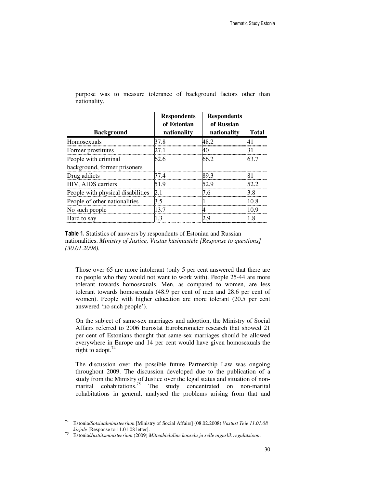| <b>Background</b>                 | <b>Respondents</b><br>of Estonian<br>nationality | <b>Respondents</b><br>of Russian<br>nationality | <b>Total</b> |
|-----------------------------------|--------------------------------------------------|-------------------------------------------------|--------------|
| Homosexuals                       | 37.8                                             | 48 J                                            |              |
| Former prostitutes                | 27 1                                             |                                                 |              |
| People with criminal              | 62.6                                             | 66.2                                            | 63.7         |
| background, former prisoners      |                                                  |                                                 |              |
| Drug addicts                      |                                                  |                                                 |              |
| HIV, AIDS carriers                |                                                  |                                                 |              |
| People with physical disabilities |                                                  |                                                 |              |
| People of other nationalities     | 35                                               |                                                 |              |
| No such people                    | 13 7                                             |                                                 |              |
| Hard to say                       |                                                  |                                                 |              |

purpose was to measure tolerance of background factors other than nationality.

Table 1. Statistics of answers by respondents of Estonian and Russian nationalities. *Ministry of Justice, Vastus küsimustele [Response to questions] (30.01.2008).*

Those over 65 are more intolerant (only 5 per cent answered that there are no people who they would not want to work with). People 25-44 are more tolerant towards homosexuals. Men, as compared to women, are less tolerant towards homosexuals (48.9 per cent of men and 28.6 per cent of women). People with higher education are more tolerant (20.5 per cent answered 'no such people').

On the subject of same-sex marriages and adoption, the Ministry of Social Affairs referred to 2006 Eurostat Eurobarometer research that showed 21 per cent of Estonians thought that same-sex marriages should be allowed everywhere in Europe and 14 per cent would have given homosexuals the right to adopt. $74$ 

The discussion over the possible future Partnership Law was ongoing throughout 2009. The discussion developed due to the publication of a study from the Ministry of Justice over the legal status and situation of nonmarital cohabitations.<sup>75</sup> The study concentrated on non-marital cohabitations in general, analysed the problems arising from that and

<sup>74</sup> Estonia/*Sotsiaalministeerium* [Ministry of Social Affairs] (08.02.2008) *Vastust Teie 11.01.08 kirjale* [Response to 11.01.08 letter].

<sup>75</sup> Estonia/*Justiitsministeerium* (2009) *Mitteabieluline kooselu ja selle õiguslik regulatsioon*.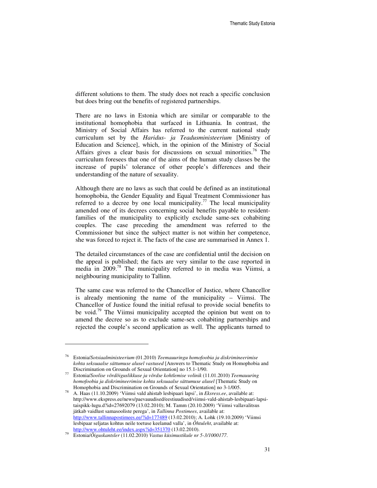different solutions to them. The study does not reach a specific conclusion but does bring out the benefits of registered partnerships.

There are no laws in Estonia which are similar or comparable to the institutional homophobia that surfaced in Lithuania. In contrast, the Ministry of Social Affairs has referred to the current national study curriculum set by the *Haridus- ja Teadusministeerium* [Ministry of Education and Science], which, in the opinion of the Ministry of Social Affairs gives a clear basis for discussions on sexual minorities.<sup>76</sup> The curriculum foresees that one of the aims of the human study classes be the increase of pupils' tolerance of other people's differences and their understanding of the nature of sexuality.

Although there are no laws as such that could be defined as an institutional homophobia, the Gender Equality and Equal Treatment Commissioner has referred to a decree by one local municipality.<sup>77</sup> The local municipality amended one of its decrees concerning social benefits payable to residentfamilies of the municipality to explicitly exclude same-sex cohabiting couples. The case preceding the amendment was referred to the Commissioner but since the subject matter is not within her competence, she was forced to reject it. The facts of the case are summarised in Annex 1.

The detailed circumstances of the case are confidential until the decision on the appeal is published; the facts are very similar to the case reported in media in 2009.<sup>78</sup> The municipality referred to in media was Viimsi, a neighbouring municipality to Tallinn.

The same case was referred to the Chancellor of Justice, where Chancellor is already mentioning the name of the municipality – Viimsi. The Chancellor of Justice found the initial refusal to provide social benefits to be void.<sup>79</sup> The Viimsi municipality accepted the opinion but went on to amend the decree so as to exclude same-sex cohabiting partnerships and rejected the couple's second application as well. The applicants turned to

 $\overline{a}$ 

<sup>76</sup> Estonia/*Sotsiaalministeerium* (01.2010) *Teemauuringu homofoobia ja diskrimineerimise kohta seksuaalse sättumuse alusel vastused* [Answers to Thematic Study on Homophobia and Discrimination on Grounds of Sexual Orientation] no 15.1-1/90.

<sup>77</sup> Estonia/*Soolise võrdõiguslikkuse ja võrdse kohtlemise volinik* (11.01.2010) *Teemauuring homofoobia ja diskrimineerimise kohta seksuaalse sättumuse alusel* [Thematic Study on Homophobia and Discrimination on Grounds of Sexual Orientation] no 3-1/005.

<sup>78</sup> A. Haas (11.10.2009) 'Viimsi vald ahistab lesbipaari lapsi', in *Eksress.ee*, available at: http://www.ekspress.ee/news/paevauudised/eestiuudised/viimsi-vald-ahistab-lesbipaari-lapsitaispikk-lugu.d?id=27692079 (13.02.2010); M. Tamm (20.10.2009) 'Viimsi vallavalitsus jätkab vaidlust samasooliste perega', in *Tallinna Postimees*, available at: http://www.tallinnapostimees.ee/?id=177489 (13.02.2010); A. Lohk (19.10.2009) 'Viimsi lesbipaar seljatas kohtus neile toetuse keelanud valla', in *Õhtuleht*, available at: http://www.ohtuleht.ee/index.aspx?id=351370 (13.02.2010).

<sup>79</sup> Estonia/*Õiguskantsler* (11.02.2010) *Vastus küsimustikule nr 5-3/1000177*.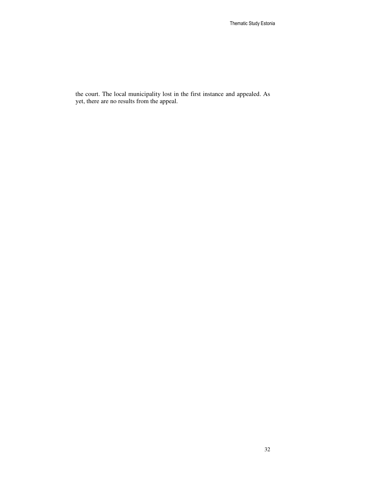the court. The local municipality lost in the first instance and appealed. As yet, there are no results from the appeal.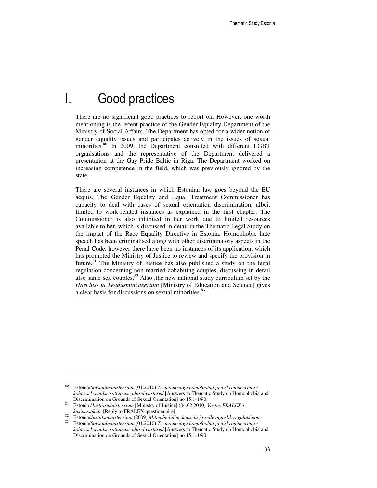### I. Good practices

There are no significant good practices to report on. However, one worth mentioning is the recent practice of the Gender Equality Department of the Ministry of Social Affairs. The Department has opted for a wider notion of gender equality issues and participates actively in the issues of sexual minorities.<sup>80</sup> In 2009, the Department consulted with different LGBT organisations and the representative of the Department delivered a presentation at the Gay Pride Baltic in Riga. The Department worked on increasing competence in the field, which was previously ignored by the state.

There are several instances in which Estonian law goes beyond the EU acquis. The Gender Equality and Equal Treatment Commissioner has capacity to deal with cases of sexual orientation discrimination, albeit limited to work-related instances as explained in the first chapter. The Commissioner is also inhibited in her work due to limited resources available to her, which is discussed in detail in the Thematic Legal Study on the impact of the Race Equality Directive in Estonia. Homophobic hate speech has been criminalised along with other discriminatory aspects in the Penal Code, however there have been no instances of its application, which has prompted the Ministry of Justice to review and specify the provision in future.<sup>81</sup> The Ministry of Justice has also published a study on the legal regulation concerning non-married cohabiting couples, discussing in detail also same-sex couples. $82$  Also ,the new national study curriculum set by the *Haridus- ja Teadusministeerium* [Ministry of Education and Science] gives a clear basis for discussions on sexual minorities.<sup>83</sup>

 $\overline{a}$ 

<sup>80</sup> Estonia/*Sotsiaalministeerium* (01.2010) *Teemauuringu homofoobia ja diskrimineerimise kohta seksuaalse sättumuse alusel vastused* [Answers to Thematic Study on Homophobia and Discrimination on Grounds of Sexual Orientation] no 15.1-1/90.

<sup>81</sup> Estonia /*Justiitsministeerium* [Ministry of Justice] (04.02.2010) *Vastus FRALEX-i*  kü*simustikule* [Reply to FRALEX questionnaire]

<sup>82</sup> Estonia/*Justiitsministeerium* (2009) *Mitteabieluline kooselu ja selle õiguslik regulatsioon*.

<sup>83</sup> Estonia/*Sotsiaalministeerium* (01.2010) *Teemauuringu homofoobia ja diskrimineerimise kohta seksuaalse sättumuse alusel vastused* [Answers to Thematic Study on Homophobia and Discrimination on Grounds of Sexual Orientation] no 15.1-1/90.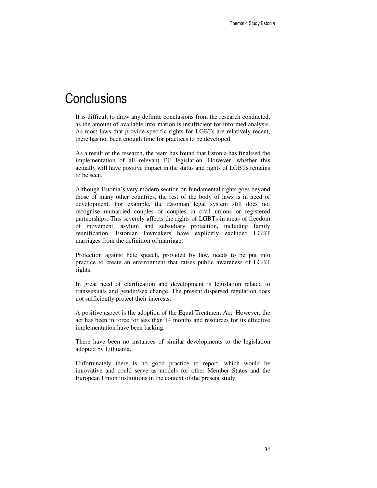### **Conclusions**

It is difficult to draw any definite conclusions from the research conducted, as the amount of available information is insufficient for informed analysis. As most laws that provide specific rights for LGBTs are relatively recent, there has not been enough time for practices to be developed.

As a result of the research, the team has found that Estonia has finalised the implementation of all relevant EU legislation. However, whether this actually will have positive impact in the status and rights of LGBTs remains to be seen.

Although Estonia's very modern section on fundamental rights goes beyond those of many other countries, the rest of the body of laws is in need of development. For example, the Estonian legal system still does not recognise unmarried couples or couples in civil unions or registered partnerships. This severely affects the rights of LGBTs in areas of freedom of movement, asylum and subsidiary protection, including family reunification. Estonian lawmakers have explicitly excluded LGBT marriages from the definition of marriage.

Protection against hate speech, provided by law, needs to be put into practice to create an environment that raises public awareness of LGBT rights.

In great need of clarification and development is legislation related to transsexuals and gender/sex change. The present dispersed regulation does not sufficiently protect their interests.

A positive aspect is the adoption of the Equal Treatment Act. However, the act has been in force for less than 14 months and resources for its effective implementation have been lacking.

There have been no instances of similar developments to the legislation adopted by Lithuania.

Unfortunately there is no good practice to report, which would be innovative and could serve as models for other Member States and the European Union institutions in the context of the present study.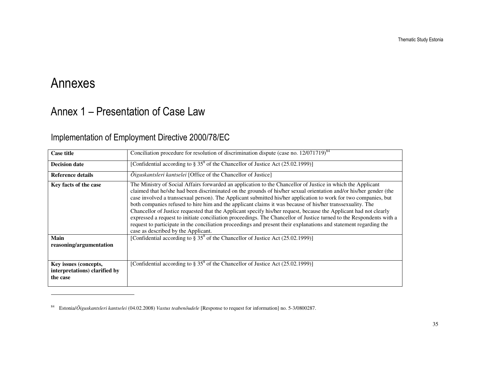# Annexes

### Annex 1 – Presentation of Case Law

### Implementation of Employment Directive 2000/78/EC

| <b>Case title</b>                                                  | Conciliation procedure for resolution of discrimination dispute (case no. $12/071719$ ) <sup>84</sup>                                                                                                                                                                                                                                                                                                                                                                                                                                                                                                                                                                                                                                                                                                                                                                      |
|--------------------------------------------------------------------|----------------------------------------------------------------------------------------------------------------------------------------------------------------------------------------------------------------------------------------------------------------------------------------------------------------------------------------------------------------------------------------------------------------------------------------------------------------------------------------------------------------------------------------------------------------------------------------------------------------------------------------------------------------------------------------------------------------------------------------------------------------------------------------------------------------------------------------------------------------------------|
| <b>Decision date</b>                                               | [Confidential according to $\S 35^8$ of the Chancellor of Justice Act (25.02.1999)]                                                                                                                                                                                                                                                                                                                                                                                                                                                                                                                                                                                                                                                                                                                                                                                        |
| <b>Reference details</b>                                           | <i><u>Oiguskantsleri kantselei [Office of the Chancellor of Justice]</u></i>                                                                                                                                                                                                                                                                                                                                                                                                                                                                                                                                                                                                                                                                                                                                                                                               |
| Key facts of the case                                              | The Ministry of Social Affairs forwarded an application to the Chancellor of Justice in which the Applicant<br>claimed that he/she had been discriminated on the grounds of his/her sexual orientation and/or his/her gender (the<br>case involved a transsexual person). The Applicant submitted his/her application to work for two companies, but<br>both companies refused to hire him and the applicant claims it was because of his/her transsexuality. The<br>Chancellor of Justice requested that the Applicant specify his/her request, because the Applicant had not clearly<br>expressed a request to initiate conciliation proceedings. The Chancellor of Justice turned to the Respondents with a<br>request to participate in the conciliation proceedings and present their explanations and statement regarding the<br>case as described by the Applicant. |
| Main<br>reasoning/argumentation                                    | [Confidential according to $\S 35^8$ of the Chancellor of Justice Act (25.02.1999)]                                                                                                                                                                                                                                                                                                                                                                                                                                                                                                                                                                                                                                                                                                                                                                                        |
| Key issues (concepts,<br>interpretations) clarified by<br>the case | [Confidential according to $\S 35^8$ of the Chancellor of Justice Act (25.02.1999)]                                                                                                                                                                                                                                                                                                                                                                                                                                                                                                                                                                                                                                                                                                                                                                                        |

<sup>84</sup> Estonia/*Õiguskantsleri kantselei* (04.02.2008) *Vastus teabenõudele* [Response to request for information] no. 5-3/0800287.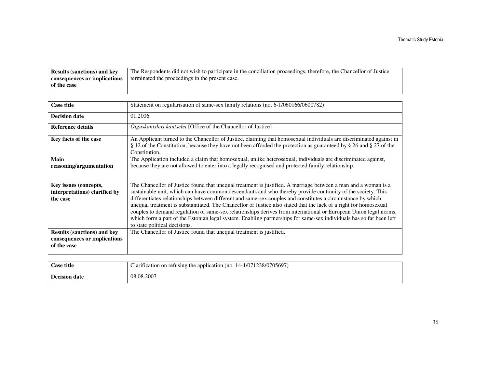| <b>Results (sanctions) and key</b> | The Respondents did not wish to participate in the conciliation proceedings, therefore, the Chancellor of Justice |
|------------------------------------|-------------------------------------------------------------------------------------------------------------------|
| consequences or implications       | terminated the proceedings in the present case.                                                                   |
| of the case                        |                                                                                                                   |
|                                    |                                                                                                                   |

| <b>Case title</b>                                                                 | Statement on regularisation of same-sex family relations (no. 6-1/060166/0600782)                                                                                                                                                                                                                                                                                                                                                                                                                                                                                                                                                                                                                                                             |
|-----------------------------------------------------------------------------------|-----------------------------------------------------------------------------------------------------------------------------------------------------------------------------------------------------------------------------------------------------------------------------------------------------------------------------------------------------------------------------------------------------------------------------------------------------------------------------------------------------------------------------------------------------------------------------------------------------------------------------------------------------------------------------------------------------------------------------------------------|
| <b>Decision date</b>                                                              | 01.2006                                                                                                                                                                                                                                                                                                                                                                                                                                                                                                                                                                                                                                                                                                                                       |
| <b>Reference details</b>                                                          | $\tilde{O}$ iguskantsleri kantselei [Office of the Chancellor of Justice]                                                                                                                                                                                                                                                                                                                                                                                                                                                                                                                                                                                                                                                                     |
| Key facts of the case                                                             | An Applicant turned to the Chancellor of Justice, claiming that homosexual individuals are discriminated against in<br>§ 12 of the Constitution, because they have not been afforded the protection as guaranteed by § 26 and § 27 of the<br>Constitution.                                                                                                                                                                                                                                                                                                                                                                                                                                                                                    |
| Main<br>reasoning/argumentation                                                   | The Application included a claim that homosexual, unlike heterosexual, individuals are discriminated against,<br>because they are not allowed to enter into a legally recognised and protected family relationship.                                                                                                                                                                                                                                                                                                                                                                                                                                                                                                                           |
| Key issues (concepts,<br>interpretations) clarified by<br>the case                | The Chancellor of Justice found that unequal treatment is justified. A marriage between a man and a woman is a<br>sustainable unit, which can have common descendants and who thereby provide continuity of the society. This<br>differentiates relationships between different and same-sex couples and constitutes a circumstance by which<br>unequal treatment is substantiated. The Chancellor of Justice also stated that the lack of a right for homosexual<br>couples to demand regulation of same-sex relationships derives from international or European Union legal norms,<br>which form a part of the Estonian legal system. Enabling partnerships for same-sex individuals has so far been left<br>to state political decisions. |
| <b>Results (sanctions) and key</b><br>consequences or implications<br>of the case | The Chancellor of Justice found that unequal treatment is justified.                                                                                                                                                                                                                                                                                                                                                                                                                                                                                                                                                                                                                                                                          |

| <b>Case title</b>    | Clarification on refusing the application (no. 14-1/071238/0705697) |
|----------------------|---------------------------------------------------------------------|
| <b>Decision date</b> | 08.08.2007                                                          |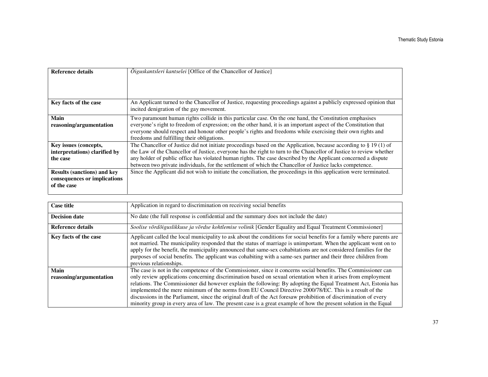| <b>Reference details</b>           | <i>Oiguskantsleri kantselei</i> [Office of the Chancellor of Justice]                                               |
|------------------------------------|---------------------------------------------------------------------------------------------------------------------|
|                                    |                                                                                                                     |
|                                    |                                                                                                                     |
|                                    |                                                                                                                     |
|                                    |                                                                                                                     |
|                                    |                                                                                                                     |
| Key facts of the case              | An Applicant turned to the Chancellor of Justice, requesting proceedings against a publicly expressed opinion that  |
|                                    | incited denigration of the gay movement.                                                                            |
|                                    |                                                                                                                     |
| Main                               | Two paramount human rights collide in this particular case. On the one hand, the Constitution emphasises            |
| reasoning/argumentation            | everyone's right to freedom of expression; on the other hand, it is an important aspect of the Constitution that    |
|                                    | everyone should respect and honour other people's rights and freedoms while exercising their own rights and         |
|                                    | freedoms and fulfilling their obligations.                                                                          |
| Key issues (concepts,              | The Chancellor of Justice did not initiate proceedings based on the Application, because according to $\S 19(1)$ of |
|                                    |                                                                                                                     |
| interpretations) clarified by      | the Law of the Chancellor of Justice, everyone has the right to turn to the Chancellor of Justice to review whether |
| the case                           | any holder of public office has violated human rights. The case described by the Applicant concerned a dispute      |
|                                    | between two private individuals, for the settlement of which the Chancellor of Justice lacks competence.            |
| <b>Results (sanctions) and key</b> | Since the Applicant did not wish to initiate the conciliation, the proceedings in this application were terminated. |
| consequences or implications       |                                                                                                                     |
|                                    |                                                                                                                     |
| of the case                        |                                                                                                                     |
|                                    |                                                                                                                     |

| <b>Case title</b>               | Application in regard to discrimination on receiving social benefits                                                                                                                                                                                                                                                                                                                                                                                                                                                                                                                                                                                                                                    |
|---------------------------------|---------------------------------------------------------------------------------------------------------------------------------------------------------------------------------------------------------------------------------------------------------------------------------------------------------------------------------------------------------------------------------------------------------------------------------------------------------------------------------------------------------------------------------------------------------------------------------------------------------------------------------------------------------------------------------------------------------|
| <b>Decision date</b>            | No date (the full response is confidential and the summary does not include the date)                                                                                                                                                                                                                                                                                                                                                                                                                                                                                                                                                                                                                   |
| <b>Reference details</b>        | Soolise võrdõiguslikkuse ja võrdse kohtlemise volinik [Gender Equality and Equal Treatment Commissioner]                                                                                                                                                                                                                                                                                                                                                                                                                                                                                                                                                                                                |
| Key facts of the case           | Applicant called the local municipality to ask about the conditions for social benefits for a family where parents are<br>not married. The municipality responded that the status of marriage is unimportant. When the applicant went on to<br>apply for the benefit, the municipality announced that same-sex cohabitations are not considered families for the<br>purposes of social benefits. The applicant was cohabiting with a same-sex partner and their three children from<br>previous relationships.                                                                                                                                                                                          |
| Main<br>reasoning/argumentation | The case is not in the competence of the Commissioner, since it concerns social benefits. The Commissioner can<br>only review applications concerning discrimination based on sexual orientation when it arises from employment<br>relations. The Commissioner did however explain the following: By adopting the Equal Treatment Act, Estonia has<br>implemented the mere minimum of the norms from EU Council Directive 2000/78/EC. This is a result of the<br>discussions in the Parliament, since the original draft of the Act foresaw prohibition of discrimination of every<br>minority group in every area of law. The present case is a great example of how the present solution in the Equal |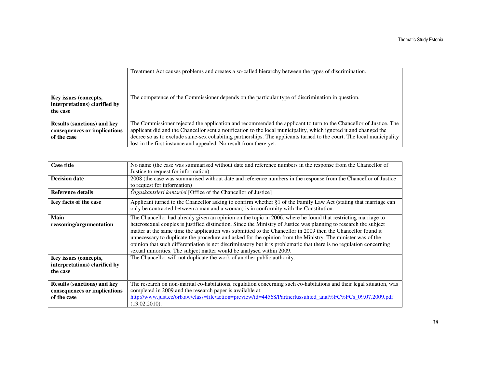|                                                                                   | Treatment Act causes problems and creates a so-called hierarchy between the types of discrimination.                                                                                                                                                                                                                                                          |
|-----------------------------------------------------------------------------------|---------------------------------------------------------------------------------------------------------------------------------------------------------------------------------------------------------------------------------------------------------------------------------------------------------------------------------------------------------------|
| Key issues (concepts,<br>interpretations) clarified by<br>the case                | The competence of the Commissioner depends on the particular type of discrimination in question.                                                                                                                                                                                                                                                              |
| <b>Results (sanctions) and key</b><br>consequences or implications<br>of the case | The Commissioner rejected the application and recommended the applicant to turn to the Chancellor of Justice. The<br>applicant did and the Chancellor sent a notification to the local municipality, which ignored it and changed the<br>decree so as to exclude same-sex cohabiting partnerships. The applicants turned to the court. The local municipality |
|                                                                                   | lost in the first instance and appealed. No result from there yet.                                                                                                                                                                                                                                                                                            |

| <b>Case title</b>                                                                 | No name (the case was summarised without date and reference numbers in the response from the Chancellor of<br>Justice to request for information)                                                                                                                                                                                                                                                                                                                                                                                                                                                                                                                 |
|-----------------------------------------------------------------------------------|-------------------------------------------------------------------------------------------------------------------------------------------------------------------------------------------------------------------------------------------------------------------------------------------------------------------------------------------------------------------------------------------------------------------------------------------------------------------------------------------------------------------------------------------------------------------------------------------------------------------------------------------------------------------|
| <b>Decision date</b>                                                              | 2008 (the case was summarised without date and reference numbers in the response from the Chancellor of Justice<br>to request for information)                                                                                                                                                                                                                                                                                                                                                                                                                                                                                                                    |
| <b>Reference details</b>                                                          | $\tilde{O}$ iguskantsleri kantselei [Office of the Chancellor of Justice]                                                                                                                                                                                                                                                                                                                                                                                                                                                                                                                                                                                         |
| Key facts of the case                                                             | Applicant turned to the Chancellor asking to confirm whether §1 of the Family Law Act (stating that marriage can<br>only be contracted between a man and a woman) is in conformity with the Constitution.                                                                                                                                                                                                                                                                                                                                                                                                                                                         |
| Main<br>reasoning/argumentation                                                   | The Chancellor had already given an opinion on the topic in 2006, where he found that restricting marriage to<br>heterosexual couples is justified distinction. Since the Ministry of Justice was planning to research the subject<br>matter at the same time the application was submitted to the Chancellor in 2009 then the Chancellor found it<br>unnecessary to duplicate the procedure and asked for the opinion from the Ministry. The minister was of the<br>opinion that such differentiation is not discriminatory but it is problematic that there is no regulation concerning<br>sexual minorities. The subject matter would be analysed within 2009. |
| Key issues (concepts,<br>interpretations) clarified by<br>the case                | The Chancellor will not duplicate the work of another public authority.                                                                                                                                                                                                                                                                                                                                                                                                                                                                                                                                                                                           |
| <b>Results (sanctions) and key</b><br>consequences or implications<br>of the case | The research on non-marital co-habitations, regulation concerning such co-habitations and their legal situation, was<br>completed in 2009 and the research paper is available at:<br>http://www.just.ee/orb.aw/class=file/action=preview/id=44568/Partnerlussuhted_anal%FC%FCs_09.07.2009.pdf<br>(13.02.2010).                                                                                                                                                                                                                                                                                                                                                    |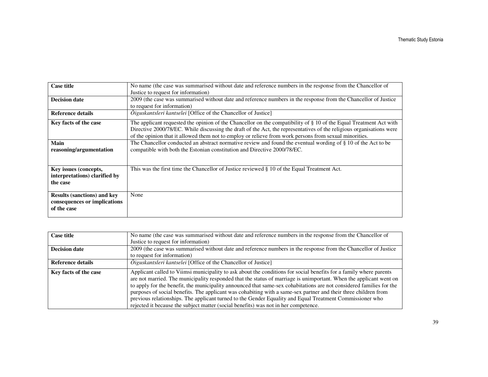| <b>Case title</b>                  | No name (the case was summarised without date and reference numbers in the response from the Chancellor of           |
|------------------------------------|----------------------------------------------------------------------------------------------------------------------|
|                                    | Justice to request for information)                                                                                  |
| <b>Decision date</b>               | 2009 (the case was summarised without date and reference numbers in the response from the Chancellor of Justice      |
|                                    | to request for information)                                                                                          |
| <b>Reference details</b>           | $\tilde{O}$ iguskantsleri kantselei [Office of the Chancellor of Justice]                                            |
| Key facts of the case              | The applicant requested the opinion of the Chancellor on the compatibility of § 10 of the Equal Treatment Act with   |
|                                    | Directive 2000/78/EC. While discussing the draft of the Act, the representatives of the religious organisations were |
|                                    | of the opinion that it allowed them not to employ or relieve from work persons from sexual minorities.               |
| Main                               | The Chancellor conducted an abstract normative review and found the eventual wording of § 10 of the Act to be        |
| reasoning/argumentation            | compatible with both the Estonian constitution and Directive 2000/78/EC.                                             |
|                                    |                                                                                                                      |
|                                    |                                                                                                                      |
| Key issues (concepts,              | This was the first time the Chancellor of Justice reviewed § 10 of the Equal Treatment Act.                          |
| interpretations) clarified by      |                                                                                                                      |
| the case                           |                                                                                                                      |
|                                    |                                                                                                                      |
| <b>Results (sanctions) and key</b> | None                                                                                                                 |
| consequences or implications       |                                                                                                                      |
| of the case                        |                                                                                                                      |
|                                    |                                                                                                                      |

| <b>Case title</b>     | No name (the case was summarised without date and reference numbers in the response from the Chancellor of                                                                                                                                                                                                                                                                                                                                                                                                                                                                                                                                                                             |
|-----------------------|----------------------------------------------------------------------------------------------------------------------------------------------------------------------------------------------------------------------------------------------------------------------------------------------------------------------------------------------------------------------------------------------------------------------------------------------------------------------------------------------------------------------------------------------------------------------------------------------------------------------------------------------------------------------------------------|
|                       | Justice to request for information)                                                                                                                                                                                                                                                                                                                                                                                                                                                                                                                                                                                                                                                    |
| <b>Decision date</b>  | 2009 (the case was summarised without date and reference numbers in the response from the Chancellor of Justice                                                                                                                                                                                                                                                                                                                                                                                                                                                                                                                                                                        |
|                       | to request for information)                                                                                                                                                                                                                                                                                                                                                                                                                                                                                                                                                                                                                                                            |
| Reference details     | $\tilde{O}$ iguskantsleri kantselei [Office of the Chancellor of Justice]                                                                                                                                                                                                                                                                                                                                                                                                                                                                                                                                                                                                              |
| Key facts of the case | Applicant called to Viimsi municipality to ask about the conditions for social benefits for a family where parents<br>are not married. The municipality responded that the status of marriage is unimportant. When the applicant went on<br>to apply for the benefit, the municipality announced that same-sex cohabitations are not considered families for the<br>purposes of social benefits. The applicant was cohabiting with a same-sex partner and their three children from<br>previous relationships. The applicant turned to the Gender Equality and Equal Treatment Commissioner who<br>rejected it because the subject matter (social benefits) was not in her competence. |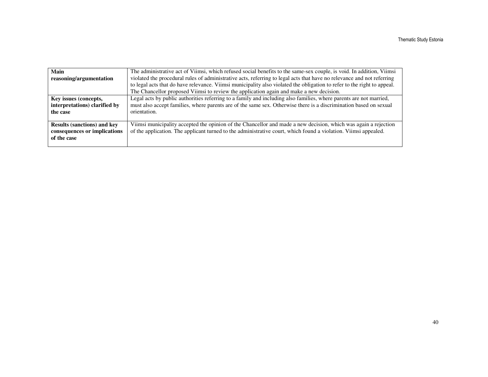| Main<br>reasoning/argumentation                                                   | The administrative act of Viimsi, which refused social benefits to the same-sex couple, is void. In addition, Viimsi<br>violated the procedural rules of administrative acts, referring to legal acts that have no relevance and not referring<br>to legal acts that do have relevance. Viimsi municipality also violated the obligation to refer to the right to appeal.<br>The Chancellor proposed Viimsi to review the application again and make a new decision. |
|-----------------------------------------------------------------------------------|----------------------------------------------------------------------------------------------------------------------------------------------------------------------------------------------------------------------------------------------------------------------------------------------------------------------------------------------------------------------------------------------------------------------------------------------------------------------|
| Key issues (concepts,<br>interpretations) clarified by<br>the case                | Legal acts by public authorities referring to a family and including also families, where parents are not married,<br>must also accept families, where parents are of the same sex. Otherwise there is a discrimination based on sexual<br>orientation.                                                                                                                                                                                                              |
| <b>Results (sanctions) and key</b><br>consequences or implications<br>of the case | Viimsi municipality accepted the opinion of the Chancellor and made a new decision, which was again a rejection<br>of the application. The applicant turned to the administrative court, which found a violation. Viimsi appealed.                                                                                                                                                                                                                                   |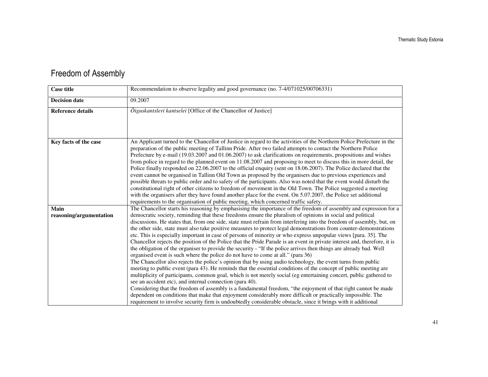#### Freedom of Assembly

| <b>Case title</b>               | Recommendation to observe legality and good governance (no. 7-4/071025/00706331)                                                                                                                                                                                                                                                                                                                                                                                                                                                                                                                                                                                                                                                                                                                                                                                                                                                                                                                                                                                                                                                                                                                                                                                                                                                                                                                                                                                                                                                                                                                                                                                                                                |
|---------------------------------|-----------------------------------------------------------------------------------------------------------------------------------------------------------------------------------------------------------------------------------------------------------------------------------------------------------------------------------------------------------------------------------------------------------------------------------------------------------------------------------------------------------------------------------------------------------------------------------------------------------------------------------------------------------------------------------------------------------------------------------------------------------------------------------------------------------------------------------------------------------------------------------------------------------------------------------------------------------------------------------------------------------------------------------------------------------------------------------------------------------------------------------------------------------------------------------------------------------------------------------------------------------------------------------------------------------------------------------------------------------------------------------------------------------------------------------------------------------------------------------------------------------------------------------------------------------------------------------------------------------------------------------------------------------------------------------------------------------------|
| <b>Decision date</b>            | 09.2007                                                                                                                                                                                                                                                                                                                                                                                                                                                                                                                                                                                                                                                                                                                                                                                                                                                                                                                                                                                                                                                                                                                                                                                                                                                                                                                                                                                                                                                                                                                                                                                                                                                                                                         |
| <b>Reference details</b>        | Õiguskantsleri kantselei [Office of the Chancellor of Justice]                                                                                                                                                                                                                                                                                                                                                                                                                                                                                                                                                                                                                                                                                                                                                                                                                                                                                                                                                                                                                                                                                                                                                                                                                                                                                                                                                                                                                                                                                                                                                                                                                                                  |
| Key facts of the case           | An Applicant turned to the Chancellor of Justice in regard to the activities of the Northern Police Prefecture in the<br>preparation of the public meeting of Tallinn Pride. After two failed attempts to contact the Northern Police<br>Prefecture by e-mail (19.03.2007 and 01.06.2007) to ask clarifications on requirements, propositions and wishes<br>from police in regard to the planned event on 11.08.2007 and proposing to meet to discuss this in more detail, the<br>Police finally responded on 22.06.2007 to the official enquiry (sent on 18.06.2007). The Police declared that the<br>event cannot be organised in Tallinn Old Town as proposed by the organisers due to previous experiences and<br>possible threats to public order and to safety of the participants. Also was noted that the event would disturb the<br>constitutional right of other citizens to freedom of movement in the Old Town. The Police suggested a meeting<br>with the organisers after they have found another place for the event. On 5.07.2007, the Police set additional<br>requirements to the organisation of public meeting, which concerned traffic safety.                                                                                                                                                                                                                                                                                                                                                                                                                                                                                                                                             |
| Main<br>reasoning/argumentation | The Chancellor starts his reasoning by emphasising the importance of the freedom of assembly and expression for a<br>democratic society, reminding that these freedoms ensure the pluralism of opinions in social and political<br>discussions. He states that, from one side, state must refrain from interfering into the freedom of assembly, but, on<br>the other side, state must also take positive measures to protect legal demonstrations from counter-demonstrations<br>etc. This is especially important in case of persons of minority or who express unpopular views [para. 35]. The<br>Chancellor rejects the position of the Police that the Pride Parade is an event in private interest and, therefore, it is<br>the obligation of the organiser to provide the security - "If the police arrives then things are already bad. Well<br>organised event is such where the police do not have to come at all." (para 36)<br>The Chancellor also rejects the police's opinion that by using audio technology, the event turns from public<br>meeting to public event (para 43). He reminds that the essential conditions of the concept of public meeting are<br>multiplicity of participants, common goal, which is not merely social (eg entertaining concert, public gathered to<br>see an accident etc), and internal connection (para 40).<br>Considering that the freedom of assembly is a fundamental freedom, "the enjoyment of that right cannot be made<br>dependent on conditions that make that enjoyment considerably more difficult or practically impossible. The<br>requirement to involve security firm is undoubtedly considerable obstacle, since it brings with it additional |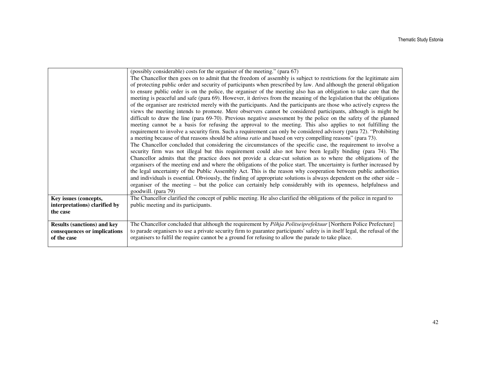|                                                                                   | (possibly considerable) costs for the organiser of the meeting." (para 67)<br>The Chancellor then goes on to admit that the freedom of assembly is subject to restrictions for the legitimate aim<br>of protecting public order and security of participants when prescribed by law. And although the general obligation<br>to ensure public order is on the police, the organiser of the meeting also has an obligation to take care that the<br>meeting is peaceful and safe (para 69). However, it derives from the meaning of the legislation that the obligations<br>of the organiser are restricted merely with the participants. And the participants are those who actively express the<br>views the meeting intends to promote. Mere observers cannot be considered participants, although is might be<br>difficult to draw the line (para 69-70). Previous negative assessment by the police on the safety of the planned<br>meeting cannot be a basis for refusing the approval to the meeting. This also applies to not fulfilling the<br>requirement to involve a security firm. Such a requirement can only be considered advisory (para 72). "Prohibiting<br>a meeting because of that reasons should be <i>ultima ratio</i> and based on very compelling reasons" (para 73).<br>The Chancellor concluded that considering the circumstances of the specific case, the requirement to involve a<br>security firm was not illegal but this requirement could also not have been legally binding (para 74). The<br>Chancellor admits that the practice does not provide a clear-cut solution as to where the obligations of the<br>organisers of the meeting end and where the obligations of the police start. The uncertainty is further increased by<br>the legal uncertainty of the Public Assembly Act. This is the reason why cooperation between public authorities<br>and individuals is essential. Obviously, the finding of appropriate solutions is always dependent on the other side -<br>organiser of the meeting – but the police can certainly help considerably with its openness, helpfulness and<br>goodwill. (para 79) |
|-----------------------------------------------------------------------------------|---------------------------------------------------------------------------------------------------------------------------------------------------------------------------------------------------------------------------------------------------------------------------------------------------------------------------------------------------------------------------------------------------------------------------------------------------------------------------------------------------------------------------------------------------------------------------------------------------------------------------------------------------------------------------------------------------------------------------------------------------------------------------------------------------------------------------------------------------------------------------------------------------------------------------------------------------------------------------------------------------------------------------------------------------------------------------------------------------------------------------------------------------------------------------------------------------------------------------------------------------------------------------------------------------------------------------------------------------------------------------------------------------------------------------------------------------------------------------------------------------------------------------------------------------------------------------------------------------------------------------------------------------------------------------------------------------------------------------------------------------------------------------------------------------------------------------------------------------------------------------------------------------------------------------------------------------------------------------------------------------------------------------------------------------------------------------------------------------------------------------------------------------------|
| Key issues (concepts,<br>interpretations) clarified by<br>the case                | The Chancellor clarified the concept of public meeting. He also clarified the obligations of the police in regard to<br>public meeting and its participants.                                                                                                                                                                                                                                                                                                                                                                                                                                                                                                                                                                                                                                                                                                                                                                                                                                                                                                                                                                                                                                                                                                                                                                                                                                                                                                                                                                                                                                                                                                                                                                                                                                                                                                                                                                                                                                                                                                                                                                                            |
| <b>Results (sanctions) and key</b><br>consequences or implications<br>of the case | The Chancellor concluded that although the requirement by Põhja Politseiprefektuur [Northern Police Prefecture]<br>to parade organisers to use a private security firm to guarantee participants' safety is in itself legal, the refusal of the<br>organisers to fulfil the require cannot be a ground for refusing to allow the parade to take place.                                                                                                                                                                                                                                                                                                                                                                                                                                                                                                                                                                                                                                                                                                                                                                                                                                                                                                                                                                                                                                                                                                                                                                                                                                                                                                                                                                                                                                                                                                                                                                                                                                                                                                                                                                                                  |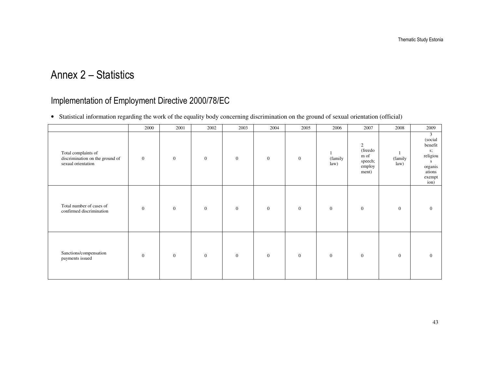### Annex 2 – Statistics

#### Implementation of Employment Directive 2000/78/EC

• Statistical information regarding the work of the equality body concerning discrimination on the ground of sexual orientation (official)

|                                                                              | 2000         | 2001           | 2002           | 2003           | 2004           | 2005           | 2006            | 2007                                               | 2008            | 2009                                                                                     |
|------------------------------------------------------------------------------|--------------|----------------|----------------|----------------|----------------|----------------|-----------------|----------------------------------------------------|-----------------|------------------------------------------------------------------------------------------|
| Total complaints of<br>discrimination on the ground of<br>sexual orientation | $\mathbf{0}$ | $\mathbf{0}$   | $\mathbf{0}$   | $\mathbf{0}$   | $\mathbf{0}$   | $\mathbf{0}$   | (family<br>law) | 2<br>(freedo<br>m of<br>speech;<br>employ<br>ment) | (family<br>law) | 3<br>(social<br>benefit<br>$S$ ;<br>religiou<br>s<br>organis<br>ations<br>exempt<br>ion) |
| Total number of cases of<br>confirmed discrimination                         | $\mathbf{0}$ | $\overline{0}$ | $\overline{0}$ | $\overline{0}$ | $\overline{0}$ | $\overline{0}$ | $\overline{0}$  | $\mathbf{0}$                                       | $\overline{0}$  | $\overline{0}$                                                                           |
| Sanctions/compensation<br>payments issued                                    | $\mathbf{0}$ | $\mathbf{0}$   | $\mathbf{0}$   | $\overline{0}$ | $\theta$       | $\mathbf{0}$   | $\overline{0}$  | $\mathbf{0}$                                       | $\mathbf{0}$    | $\Omega$                                                                                 |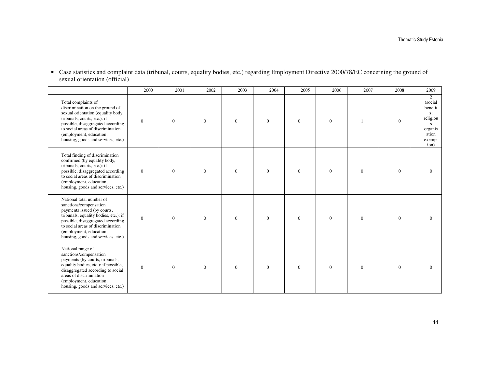• Case statistics and complaint data (tribunal, courts, equality bodies, etc.) regarding Employment Directive 2000/78/EC concerning the ground of sexual orientation (official)

|                                                                                                                                                                                                                                                                         | 2000             | 2001     | 2002     | 2003     | 2004           | 2005           | 2006         | 2007           | 2008           | 2009                                                                                                  |
|-------------------------------------------------------------------------------------------------------------------------------------------------------------------------------------------------------------------------------------------------------------------------|------------------|----------|----------|----------|----------------|----------------|--------------|----------------|----------------|-------------------------------------------------------------------------------------------------------|
| Total complaints of<br>discrimination on the ground of<br>sexual orientation (equality body,<br>tribunals, courts, etc.): if<br>possible, disaggregated according<br>to social areas of discrimination<br>(employment, education,<br>housing, goods and services, etc.) | $\mathbf{0}$     | $\Omega$ | $\Omega$ | $\Omega$ | $\Omega$       | $\Omega$       | $\mathbf{0}$ | $\mathbf{1}$   | $\Omega$       | $\overline{2}$<br>(social<br>benefit<br>$S^*$<br>religiou<br>-S<br>organis<br>ation<br>exempt<br>ion) |
| Total finding of discrimination<br>confirmed (by equality body,<br>tribunals, courts, etc.): if<br>possible, disaggregated according<br>to social areas of discrimination<br>(employment, education,<br>housing, goods and services, etc.)                              | $\overline{0}$   | $\Omega$ | $\Omega$ | $\Omega$ | $\Omega$       | $\Omega$       | $\Omega$     | $\overline{0}$ | $\Omega$       | $\Omega$                                                                                              |
| National total number of<br>sanctions/compensation<br>payments issued (by courts,<br>tribunals, equality bodies, etc.): if<br>possible, disaggregated according<br>to social areas of discrimination<br>(employment, education,<br>housing, goods and services, etc.)   | $\boldsymbol{0}$ | $\Omega$ | $\Omega$ | $\Omega$ | $\overline{0}$ | $\overline{0}$ | $\mathbf{0}$ | $\mathbf{0}$   | $\overline{0}$ | $\Omega$                                                                                              |
| National range of<br>sanctions/compensation<br>payments (by courts, tribunals,<br>equality bodies, etc.): if possible,<br>disaggregated according to social<br>areas of discrimination<br>(employment, education,<br>housing, goods and services, etc.)                 | $\boldsymbol{0}$ | $\Omega$ | $\Omega$ | $\Omega$ | $\overline{0}$ | $\overline{0}$ | $\mathbf{0}$ | $\overline{0}$ | $\overline{0}$ | $\Omega$                                                                                              |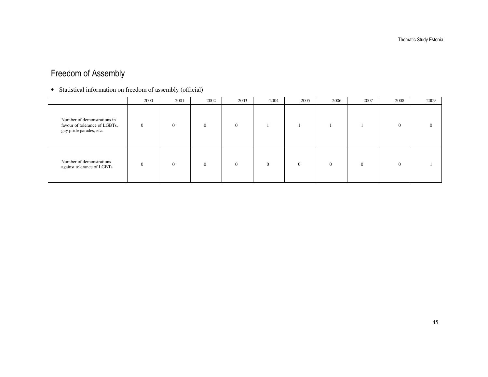Thematic Study Estonia

#### Freedom of Assembly

• Statistical information on freedom of assembly (official)

|                                                                                         | 2000     | 2001     | 2002     | 2003     | 2004     | 2005     | 2006     | 2007     | 2008     | 2009 |
|-----------------------------------------------------------------------------------------|----------|----------|----------|----------|----------|----------|----------|----------|----------|------|
| Number of demonstrations in<br>favour of tolerance of LGBTs,<br>gay pride parades, etc. | $\theta$ | $\Omega$ | $\Omega$ | $\Omega$ |          |          |          |          | $\Omega$ |      |
| Number of demonstrations<br>against tolerance of LGBTs                                  | $\Omega$ | $\Omega$ | $\Omega$ | $\Omega$ | $\Omega$ | $\Omega$ | $\Omega$ | $\Omega$ | $\Omega$ |      |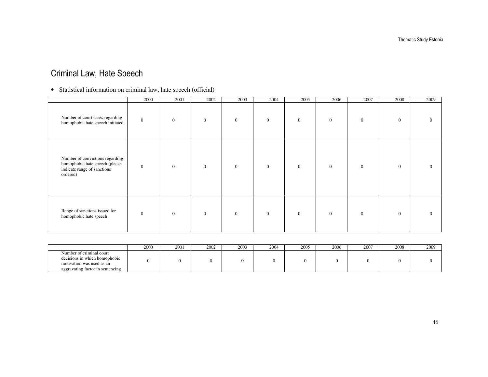#### Criminal Law, Hate Speech

#### • Statistical information on criminal law, hate speech (official)

|                                                                                                               | 2000         | 2001     | 2002     | 2003           | 2004           | 2005           | 2006           | 2007           | 2008           | 2009     |
|---------------------------------------------------------------------------------------------------------------|--------------|----------|----------|----------------|----------------|----------------|----------------|----------------|----------------|----------|
| Number of court cases regarding<br>homophobic hate speech initiated                                           | $\mathbf{0}$ | $\Omega$ | $\Omega$ | $\overline{0}$ | $\overline{0}$ | $\overline{0}$ | $\overline{0}$ | $\overline{0}$ | $\overline{0}$ | $\Omega$ |
| Number of convictions regarding<br>homophobic hate speech (please)<br>indicate range of sanctions<br>ordered) | $\mathbf{0}$ | $\theta$ | $\theta$ | $\Omega$       | $\overline{0}$ | $\overline{0}$ | $\mathbf{0}$   | $\mathbf{0}$   | $\overline{0}$ | $\Omega$ |
| Range of sanctions issued for<br>homophobic hate speech                                                       | $\Omega$     | $\Omega$ | $\theta$ | $\Omega$       | $\overline{0}$ | $\overline{0}$ | $\overline{0}$ | $\mathbf{0}$   | $\overline{0}$ | $\Omega$ |

|                                                                                                                            | 2000 | 2001 | 2002 | 2003 | $200-$ | 2005 | 2006 | 2007 | 2008 | 2009 |
|----------------------------------------------------------------------------------------------------------------------------|------|------|------|------|--------|------|------|------|------|------|
| Number of criminal court<br>decisions in which homophobic<br>motivation was used as an<br>aggravating factor in sentencing |      |      |      |      |        |      |      |      |      |      |